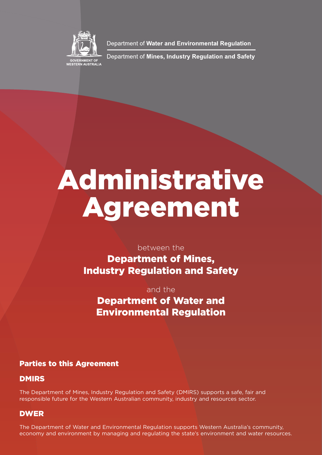

Department of Water and Environmental Regulation

Department of Mines, Industry Regulation and Safety

# Administrative Agreement

between the

Department of Mines, Industry Regulation and Safety

and the

Department of Water and Environmental Regulation

## Parties to this Agreement

## DMIRS

The Department of Mines, Industry Regulation and Safety (DMIRS) supports a safe, fair and responsible future for the Western Australian community, industry and resources sector.

## DWER

The Department of Water and Environmental Regulation supports Western Australia's community, economy and environment by managing and regulating the state's environment and water resources.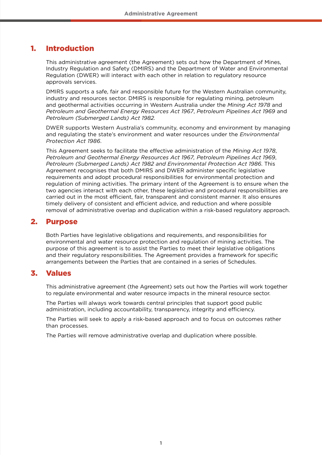## 1. Introduction

This administrative agreement (the Agreement) sets out how the Department of Mines, Industry Regulation and Safety (DMIRS) and the Department of Water and Environmental Regulation (DWER) will interact with each other in relation to regulatory resource approvals services.

DMIRS supports a safe, fair and responsible future for the Western Australian community, industry and resources sector. DMIRS is responsible for regulating mining, petroleum and geothermal activities occurring in Western Australia under the *Mining Act 1978* and *Petroleum and Geothermal Energy Resources Act 1967*, *Petroleum Pipelines Act 1969* and *Petroleum (Submerged Lands) Act 1982.*

DWER supports Western Australia's community, economy and environment by managing and regulating the state's environment and water resources under the *Environmental Protection Act 1986*.

This Agreement seeks to facilitate the effective administration of the *Mining Act 1978*, *Petroleum and Geothermal Energy Resources Act 1967, Petroleum Pipelines Act 1969*, *Petroleum (Submerged Lands) Act 1982 and Environmental Protection Act 1986*. This Agreement recognises that both DMIRS and DWER administer specific legislative requirements and adopt procedural responsibilities for environmental protection and regulation of mining activities. The primary intent of the Agreement is to ensure when the two agencies interact with each other, these legislative and procedural responsibilities are carried out in the most efficient, fair, transparent and consistent manner. It also ensures timely delivery of consistent and efficient advice, and reduction and where possible removal of administrative overlap and duplication within a risk-based regulatory approach.

## 2. Purpose

Both Parties have legislative obligations and requirements, and responsibilities for environmental and water resource protection and regulation of mining activities. The purpose of this agreement is to assist the Parties to meet their legislative obligations and their regulatory responsibilities. The Agreement provides a framework for specific arrangements between the Parties that are contained in a series of Schedules.

## 3. Values

This administrative agreement (the Agreement) sets out how the Parties will work together to regulate environmental and water resource impacts in the mineral resource sector.

The Parties will always work towards central principles that support good public administration, including accountability, transparency, integrity and efficiency.

The Parties will seek to apply a risk-based approach and to focus on outcomes rather than processes.

The Parties will remove administrative overlap and duplication where possible.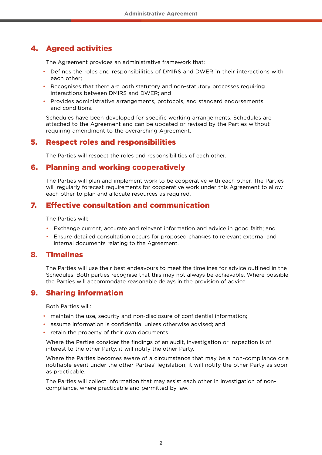## 4. Agreed activities

The Agreement provides an administrative framework that:

- Defines the roles and responsibilities of DMIRS and DWER in their interactions with each other;
- Recognises that there are both statutory and non-statutory processes requiring interactions between DMIRS and DWER; and
- Provides administrative arrangements, protocols, and standard endorsements and conditions.

Schedules have been developed for specific working arrangements. Schedules are attached to the Agreement and can be updated or revised by the Parties without requiring amendment to the overarching Agreement.

## 5. Respect roles and responsibilities

The Parties will respect the roles and responsibilities of each other.

## 6. Planning and working cooperatively

The Parties will plan and implement work to be cooperative with each other. The Parties will regularly forecast requirements for cooperative work under this Agreement to allow each other to plan and allocate resources as required.

## 7. Effective consultation and communication

The Parties will:

- Exchange current, accurate and relevant information and advice in good faith; and
- Ensure detailed consultation occurs for proposed changes to relevant external and internal documents relating to the Agreement.

## 8. Timelines

The Parties will use their best endeavours to meet the timelines for advice outlined in the Schedules. Both parties recognise that this may not always be achievable. Where possible the Parties will accommodate reasonable delays in the provision of advice.

## 9. Sharing information

Both Parties will:

- maintain the use, security and non-disclosure of confidential information;
- assume information is confidential unless otherwise advised; and
- retain the property of their own documents.

Where the Parties consider the findings of an audit, investigation or inspection is of interest to the other Party, it will notify the other Party.

Where the Parties becomes aware of a circumstance that may be a non-compliance or a notifiable event under the other Parties' legislation, it will notify the other Party as soon as practicable.

The Parties will collect information that may assist each other in investigation of noncompliance, where practicable and permitted by law.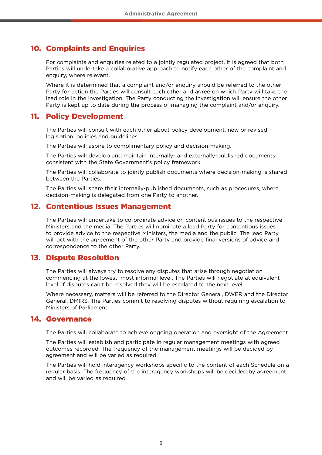## 10. Complaints and Enquiries

For complaints and enquiries related to a jointly regulated project, it is agreed that both Parties will undertake a collaborative approach to notify each other of the complaint and enquiry, where relevant.

Where it is determined that a complaint and/or enquiry should be referred to the other Party for action the Parties will consult each other and agree on which Party will take the lead role in the investigation. The Party conducting the investigation will ensure the other Party is kept up to date during the process of managing the complaint and/or enquiry.

## 11. Policy Development

The Parties will consult with each other about policy development, new or revised legislation, policies and guidelines.

The Parties will aspire to complimentary policy and decision-making.

The Parties will develop and maintain internally- and externally-published documents consistent with the State Government's policy framework.

The Parties will collaborate to jointly publish documents where decision-making is shared between the Parties.

The Parties will share their internally-published documents, such as procedures, where decision-making is delegated from one Party to another.

## 12. Contentious Issues Management

The Parties will undertake to co-ordinate advice on contentious issues to the respective Ministers and the media. The Parties will nominate a lead Party for contentious issues to provide advice to the respective Ministers, the media and the public. The lead Party will act with the agreement of the other Party and provide final versions of advice and correspondence to the other Party.

## 13. Dispute Resolution

The Parties will always try to resolve any disputes that arise through negotiation commencing at the lowest, most informal level. The Parties will negotiate at equivalent level. If disputes can't be resolved they will be escalated to the next level.

Where necessary, matters will be referred to the Director General, DWER and the Director General, DMIRS. The Parties commit to resolving disputes without requiring escalation to Ministers of Parliament.

## 14. Governance

The Parties will collaborate to achieve ongoing operation and oversight of the Agreement.

The Parties will establish and participate in regular management meetings with agreed outcomes recorded. The frequency of the management meetings will be decided by agreement and will be varied as required.

The Parties will hold interagency workshops specific to the content of each Schedule on a regular basis. The frequency of the interagency workshops will be decided by agreement and will be varied as required.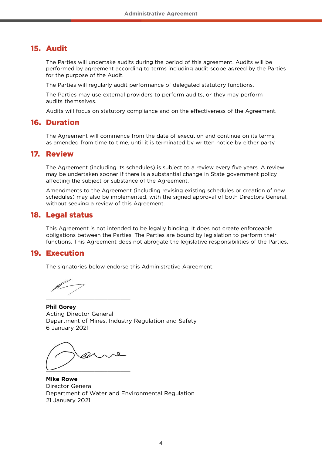## 15. Audit

The Parties will undertake audits during the period of this agreement. Audits will be performed by agreement according to terms including audit scope agreed by the Parties for the purpose of the Audit.

The Parties will regularly audit performance of delegated statutory functions.

The Parties may use external providers to perform audits, or they may perform audits themselves.

Audits will focus on statutory compliance and on the effectiveness of the Agreement.

#### 16. Duration

The Agreement will commence from the date of execution and continue on its terms, as amended from time to time, until it is terminated by written notice by either party.

#### 17. Review

The Agreement (including its schedules) is subject to a review every five years. A review may be undertaken sooner if there is a substantial change in State government policy affecting the subject or substance of the Agreement.

Amendments to the Agreement (including revising existing schedules or creation of new schedules) may also be implemented, with the signed approval of both Directors General, without seeking a review of this Agreement.

#### 18. Legal status

This Agreement is not intended to be legally binding. It does not create enforceable obligations between the Parties. The Parties are bound by legislation to perform their functions. This Agreement does not abrogate the legislative responsibilities of the Parties.

## 19. Execution

The signatories below endorse this Administrative Agreement.

 $\overline{\phantom{a}}$ 

**Phil Gorey** Acting Director General Department of Mines, Industry Regulation and Safety 6 January 2021

 $\circ$  $\overline{\phantom{a}}$ 

**Mike Rowe** Director General Department of Water and Environmental Regulation 21 January 2021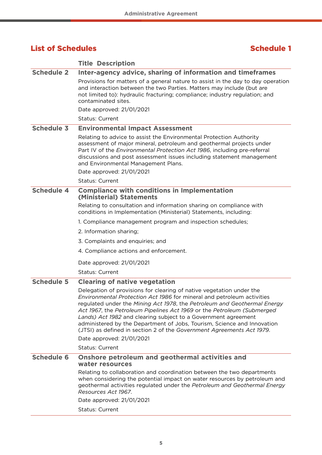## List of Schedules and Schedule 1 and 200 million of Schedule 1 and 200 million of Schedule 1

## **Title Description**

| <b>Schedule 2</b> | Inter-agency advice, sharing of information and timeframes                                                                                                                                                                                                                                                                                                                                                                                                                                                                                              |
|-------------------|---------------------------------------------------------------------------------------------------------------------------------------------------------------------------------------------------------------------------------------------------------------------------------------------------------------------------------------------------------------------------------------------------------------------------------------------------------------------------------------------------------------------------------------------------------|
|                   | Provisions for matters of a general nature to assist in the day to day operation<br>and interaction between the two Parties. Matters may include (but are<br>not limited to): hydraulic fracturing; compliance; industry regulation; and<br>contaminated sites.                                                                                                                                                                                                                                                                                         |
|                   | Date approved: 21/01/2021                                                                                                                                                                                                                                                                                                                                                                                                                                                                                                                               |
|                   | <b>Status: Current</b>                                                                                                                                                                                                                                                                                                                                                                                                                                                                                                                                  |
| <b>Schedule 3</b> | <b>Environmental Impact Assessment</b>                                                                                                                                                                                                                                                                                                                                                                                                                                                                                                                  |
|                   | Relating to advice to assist the Environmental Protection Authority<br>assessment of major mineral, petroleum and geothermal projects under<br>Part IV of the <i>Environmental Protection Act 1986</i> , including pre-referral<br>discussions and post assessment issues including statement management<br>and Environmental Management Plans.                                                                                                                                                                                                         |
|                   | Date approved: 21/01/2021                                                                                                                                                                                                                                                                                                                                                                                                                                                                                                                               |
|                   | <b>Status: Current</b>                                                                                                                                                                                                                                                                                                                                                                                                                                                                                                                                  |
| <b>Schedule 4</b> | <b>Compliance with conditions in Implementation</b><br>(Ministerial) Statements                                                                                                                                                                                                                                                                                                                                                                                                                                                                         |
|                   | Relating to consultation and information sharing on compliance with<br>conditions in Implementation (Ministerial) Statements, including:                                                                                                                                                                                                                                                                                                                                                                                                                |
|                   | 1. Compliance management program and inspection schedules;                                                                                                                                                                                                                                                                                                                                                                                                                                                                                              |
|                   | 2. Information sharing;                                                                                                                                                                                                                                                                                                                                                                                                                                                                                                                                 |
|                   | 3. Complaints and enquiries; and                                                                                                                                                                                                                                                                                                                                                                                                                                                                                                                        |
|                   | 4. Compliance actions and enforcement.                                                                                                                                                                                                                                                                                                                                                                                                                                                                                                                  |
|                   | Date approved: 21/01/2021                                                                                                                                                                                                                                                                                                                                                                                                                                                                                                                               |
|                   | <b>Status: Current</b>                                                                                                                                                                                                                                                                                                                                                                                                                                                                                                                                  |
| <b>Schedule 5</b> | <b>Clearing of native vegetation</b>                                                                                                                                                                                                                                                                                                                                                                                                                                                                                                                    |
|                   | Delegation of provisions for clearing of native vegetation under the<br>Environmental Protection Act 1986 for mineral and petroleum activities<br>regulated under the Mining Act 1978, the Petroleum and Geothermal Energy<br>Act 1967, the Petroleum Pipelines Act 1969 or the Petroleum (Submeraed<br>Lands) Act 1982 and clearing subject to a Government agreement<br>administered by the Department of Jobs, Tourism, Science and Innovation<br>(JTSI) as defined in section 2 of the Government Agreements Act 1979.<br>Date approved: 21/01/2021 |
|                   | <b>Status: Current</b>                                                                                                                                                                                                                                                                                                                                                                                                                                                                                                                                  |
| <b>Schedule 6</b> | Onshore petroleum and geothermal activities and<br>water resources                                                                                                                                                                                                                                                                                                                                                                                                                                                                                      |
|                   | Relating to collaboration and coordination between the two departments<br>when considering the potential impact on water resources by petroleum and<br>geothermal activities regulated under the Petroleum and Geothermal Energy<br>Resources Act 1967.                                                                                                                                                                                                                                                                                                 |
|                   | Date approved: 21/01/2021                                                                                                                                                                                                                                                                                                                                                                                                                                                                                                                               |
|                   | <b>Status: Current</b>                                                                                                                                                                                                                                                                                                                                                                                                                                                                                                                                  |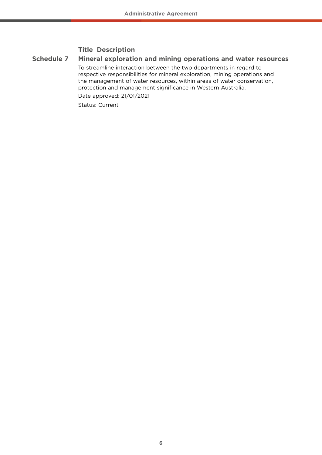## **Title Description**

### **Schedule 7 Mineral exploration and mining operations and water resources** To streamline interaction between the two departments in regard to respective responsibilities for mineral exploration, mining operations and the management of water resources, within areas of water conservation, protection and management significance in Western Australia. Date approved: 21/01/2021 Status: Current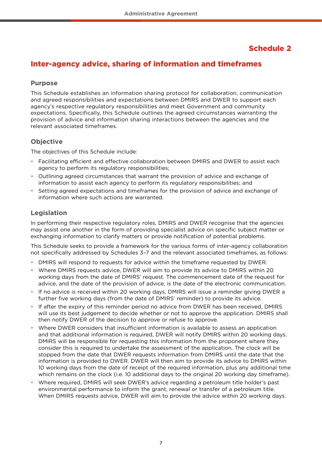## Schedule 2

## Inter-agency advice, sharing of information and timeframes

#### **Purpose**

This Schedule establishes an information sharing protocol for collaboration, communication and agreed responsibilities and expectations between DMIRS and DWER to support each agency's respective regulatory responsibilities and meet Government and community expectations. Specifically, this Schedule outlines the agreed circumstances warranting the provision of advice and information sharing interactions between the agencies and the relevant associated timeframes.

#### **Objective**

The objectives of this Schedule include:

- Facilitating efficient and effective collaboration between DMIRS and DWER to assist each agency to perform its regulatory responsibilities;
- Outlining agreed circumstances that warrant the provision of advice and exchange of information to assist each agency to perform its regulatory responsibilities; and
- Setting agreed expectations and timeframes for the provision of advice and exchange of information where such actions are warranted.

#### **Legislation**

In performing their respective regulatory roles, DMIRS and DWER recognise that the agencies may assist one another in the form of providing specialist advice on specific subject matter or exchanging information to clarify matters or provide notification of potential problems.

This Schedule seeks to provide a framework for the various forms of inter-agency collaboration not specifically addressed by Schedules 3–7 and the relevant associated timeframes, as follows:

- DMIRS will respond to requests for advice within the timeframe requested by DWER.
- Where DMIRS requests advice, DWER will aim to provide its advice to DMIRS within 20 working days from the date of DMIRS' request. The commencement date of the request for advice, and the date of the provision of advice, is the date of the electronic communication.
- If no advice is received within 20 working days, DMIRS will issue a reminder giving DWER a further five working days (from the date of DMIRS' reminder) to provide its advice.
- If after the expiry of this reminder period no advice from DWER has been received, DMIRS will use its best judgement to decide whether or not to approve the application. DMIRS shall then notify DWER of the decision to approve or refuse to approve.
- Where DWER considers that insufficient information is available to assess an application and that additional information is required, DWER will notify DMIRS within 20 working days. DMIRS will be responsible for requesting this information from the proponent where they consider this is required to undertake the assessment of the application. The clock will be stopped from the date that DWER requests information from DMIRS until the date that the information is provided to DWER. DWER will then aim to provide its advice to DMIRS within 10 working days from the date of receipt of the required information, plus any additional time which remains on the clock (i.e. 10 additional days to the original 20 working day timeframe).
- Where required, DMIRS will seek DWER's advice regarding a petroleum title holder's past environmental performance to inform the grant, renewal or transfer of a petroleum title. When DMIRS requests advice, DWER will aim to provide the advice within 20 working days.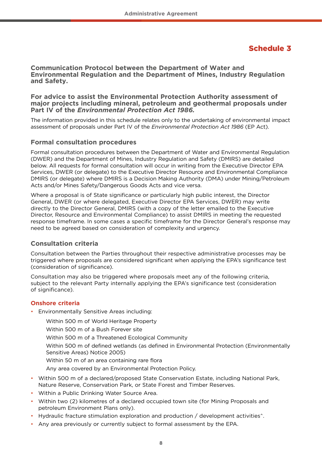## Schedule 3

**Communication Protocol between the Department of Water and Environmental Regulation and the Department of Mines, Industry Regulation and Safety.**

#### **For advice to assist the Environmental Protection Authority assessment of major projects including mineral, petroleum and geothermal proposals under Part IV of the** *Environmental Protection Act 1986.*

The information provided in this schedule relates only to the undertaking of environmental impact assessment of proposals under Part IV of the *Environmental Protection Act 1986* (EP Act).

#### **Formal consultation procedures**

Formal consultation procedures between the Department of Water and Environmental Regulation (DWER) and the Department of Mines, Industry Regulation and Safety (DMIRS) are detailed below. All requests for formal consultation will occur in writing from the Executive Director EPA Services, DWER (or delegate) to the Executive Director Resource and Environmental Compliance DMIRS (or delegate) where DMIRS is a Decision Making Authority (DMA) under Mining/Petroleum Acts and/or Mines Safety/Dangerous Goods Acts and vice versa.

Where a proposal is of State significance or particularly high public interest, the Director General, DWER (or where delegated, Executive Director EPA Services, DWER) may write directly to the Director General, DMIRS (with a copy of the letter emailed to the Executive Director, Resource and Environmental Compliance) to assist DMIRS in meeting the requested response timeframe. In some cases a specific timeframe for the Director General's response may need to be agreed based on consideration of complexity and urgency.

#### **Consultation criteria**

Consultation between the Parties throughout their respective administrative processes may be triggered where proposals are considered significant when applying the EPA's significance test (consideration of significance).

Consultation may also be triggered where proposals meet any of the following criteria, subject to the relevant Party internally applying the EPA's significance test (consideration of significance).

#### **Onshore criteria**

- Environmentally Sensitive Areas including:
	- Within 500 m of World Heritage Property
	- Within 500 m of a Bush Forever site
	- Within 500 m of a Threatened Ecological Community
	- Within 500 m of defined wetlands (as defined in Environmental Protection (Environmentally Sensitive Areas) Notice 2005)
	- Within 50 m of an area containing rare flora
	- Any area covered by an Environmental Protection Policy.
- Within 500 m of a declared/proposed State Conservation Estate, including National Park, Nature Reserve, Conservation Park, or State Forest and Timber Reserves.
- Within a Public Drinking Water Source Area.
- Within two (2) kilometres of a declared occupied town site (for Mining Proposals and petroleum Environment Plans only).
- Hydraulic fracture stimulation exploration and production / development activities<sup>^</sup>.
- Any area previously or currently subject to formal assessment by the EPA.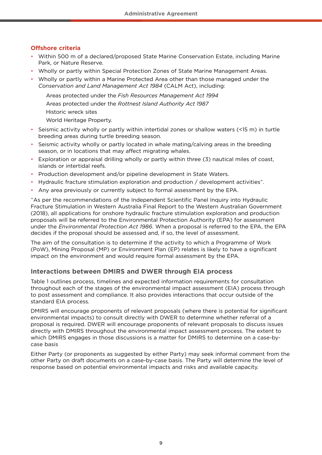#### **Offshore criteria**

- Within 500 m of a declared/proposed State Marine Conservation Estate, including Marine Park, or Nature Reserve.
- Wholly or partly within Special Protection Zones of State Marine Management Areas.
- Wholly or partly within a Marine Protected Area other than those managed under the *Conservation and Land Management Act 1984* (CALM Act), including:

Areas protected under the *Fish Resources Management Act 1994* Areas protected under the *Rottnest Island Authority Act 1987* Historic wreck sites World Heritage Property.

- Seismic activity wholly or partly within intertidal zones or shallow waters (<15 m) in turtle breeding areas during turtle breeding season.
- Seismic activity wholly or partly located in whale mating/calving areas in the breeding season, or in locations that may affect migrating whales.
- Exploration or appraisal drilling wholly or partly within three (3) nautical miles of coast, islands or intertidal reefs.
- Production development and/or pipeline development in State Waters.
- Hydraulic fracture stimulation exploration and production / development activities<sup>^</sup>.
- Any area previously or currently subject to formal assessment by the EPA.

^As per the recommendations of the Independent Scientific Panel Inquiry into Hydraulic Fracture Stimulation in Western Australia Final Report to the Western Australian Government (2018), all applications for onshore hydraulic fracture stimulation exploration and production proposals will be referred to the Environmental Protection Authority (EPA) for assessment under the *Environmental Protection Act 1986*. When a proposal is referred to the EPA, the EPA decides if the proposal should be assessed and, if so, the level of assessment.

The aim of the consultation is to determine if the activity to which a Programme of Work (PoW), Mining Proposal (MP) or Environment Plan (EP) relates is likely to have a significant impact on the environment and would require formal assessment by the EPA.

#### **Interactions between DMIRS and DWER through EIA process**

Table 1 outlines process, timelines and expected information requirements for consultation throughout each of the stages of the environmental impact assessment (EIA) process through to post assessment and compliance. It also provides interactions that occur outside of the standard EIA process.

DMIRS will encourage proponents of relevant proposals (where there is potential for significant environmental impacts) to consult directly with DWER to determine whether referral of a proposal is required. DWER will encourage proponents of relevant proposals to discuss issues directly with DMIRS throughout the environmental impact assessment process. The extent to which DMIRS engages in those discussions is a matter for DMIRS to determine on a case-bycase basis

Either Party (or proponents as suggested by either Party) may seek informal comment from the other Party on draft documents on a case-by-case basis. The Party will determine the level of response based on potential environmental impacts and risks and available capacity.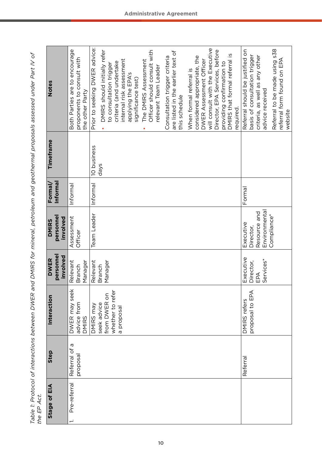| j<br>$\overline{\phantom{0}}$                                                                                 |            |
|---------------------------------------------------------------------------------------------------------------|------------|
|                                                                                                               |            |
|                                                                                                               |            |
| I                                                                                                             |            |
|                                                                                                               |            |
|                                                                                                               |            |
| リソソリン                                                                                                         |            |
|                                                                                                               |            |
|                                                                                                               |            |
|                                                                                                               |            |
|                                                                                                               |            |
|                                                                                                               |            |
|                                                                                                               |            |
|                                                                                                               |            |
|                                                                                                               |            |
|                                                                                                               |            |
|                                                                                                               |            |
|                                                                                                               |            |
|                                                                                                               |            |
|                                                                                                               |            |
| lips for mineral netroleum and geothermal proposals assessed under Part II<br>)<br>2<br>1<br>3<br>1<br>2<br>1 |            |
|                                                                                                               |            |
|                                                                                                               |            |
| )<br>)                                                                                                        |            |
|                                                                                                               |            |
| )<br>}<br>$\mathbf{r}$                                                                                        |            |
| U                                                                                                             |            |
| <br>;                                                                                                         |            |
|                                                                                                               |            |
| $\frac{1}{2}$                                                                                                 |            |
|                                                                                                               |            |
| é<br>C                                                                                                        |            |
|                                                                                                               |            |
| )<br>)<br>)<br>)<br>)                                                                                         |            |
|                                                                                                               |            |
|                                                                                                               |            |
| tod called the called the called tod<br>;<br>)<br>)<br>)                                                      |            |
|                                                                                                               |            |
| C                                                                                                             |            |
| 1.1                                                                                                           | e EP.<br>ĺ |
|                                                                                                               |            |

| Notes                                 | Both Parties are to encourage<br>proponents to consult with<br>the other Party | Prior to seeking DWER advice:<br>will consult with the Executive<br>DMIRS should initially refer<br>Officer should consult with<br>Director, EPA Services, before<br>are listed in the earlier text of<br>DMIRS that formal referral is<br>Consultation trigger criteria<br>considered appropriate, the<br>internal risk assessment<br>The DMIRS Assessment<br>DWER Assessment Officer<br>criteria (and undertake<br>providing confirmation to<br>to consultation trigger<br>relevant Team Leader<br>When formal referral is<br>applying the EPA's<br>significance test)<br>this schedule<br>required. | Referral to be made using s38<br>Referral should be justified on<br>basis of consultation trigger<br>criteria, as well as any other<br>referral form found on EPA<br>advice received<br>website |
|---------------------------------------|--------------------------------------------------------------------------------|--------------------------------------------------------------------------------------------------------------------------------------------------------------------------------------------------------------------------------------------------------------------------------------------------------------------------------------------------------------------------------------------------------------------------------------------------------------------------------------------------------------------------------------------------------------------------------------------------------|-------------------------------------------------------------------------------------------------------------------------------------------------------------------------------------------------|
| Timeframe                             |                                                                                | 10 business<br>days                                                                                                                                                                                                                                                                                                                                                                                                                                                                                                                                                                                    |                                                                                                                                                                                                 |
| Informal<br>Formal/                   | Informal                                                                       | Informal                                                                                                                                                                                                                                                                                                                                                                                                                                                                                                                                                                                               | Formal                                                                                                                                                                                          |
| personnel<br>involved<br><b>DMIRS</b> | Assessment<br>Officer                                                          | Team Leader                                                                                                                                                                                                                                                                                                                                                                                                                                                                                                                                                                                            | Environmental<br>Resource and<br>Compliance*<br>Executive<br>Director,                                                                                                                          |
| personnel<br>involved<br><b>DWER</b>  | Relevant<br>Manager<br><b>Branch</b>                                           | Relevant<br>Manager<br><b>Branch</b>                                                                                                                                                                                                                                                                                                                                                                                                                                                                                                                                                                   | Executive<br>Services*<br>Director,<br>EPA                                                                                                                                                      |
| Interaction                           | DWER may seek<br>advice from<br><b>DMIRS</b>                                   | whether to refer<br>from DWER on<br>seek advice<br>DMIRS may<br>a proposal                                                                                                                                                                                                                                                                                                                                                                                                                                                                                                                             | proposal to EPA<br>DMIRS refers                                                                                                                                                                 |
| Step                                  | $\sigma$<br>Referral of<br>proposal                                            |                                                                                                                                                                                                                                                                                                                                                                                                                                                                                                                                                                                                        | Referra                                                                                                                                                                                         |
| Stage of EIA                          | Pre-referral                                                                   |                                                                                                                                                                                                                                                                                                                                                                                                                                                                                                                                                                                                        |                                                                                                                                                                                                 |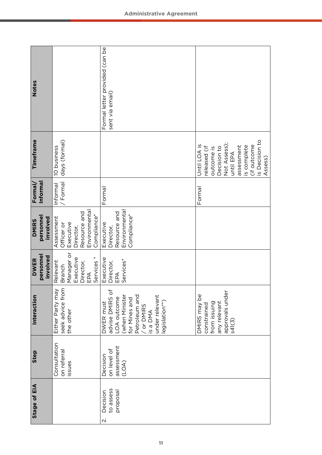| <b>Notes</b>                          |                                                                                                    | Formal letter provided (can be<br>sent via email)                                                                                                           |                                                                                                                                                                 |
|---------------------------------------|----------------------------------------------------------------------------------------------------|-------------------------------------------------------------------------------------------------------------------------------------------------------------|-----------------------------------------------------------------------------------------------------------------------------------------------------------------|
| Timeframe                             | days (formal)<br>10 business                                                                       |                                                                                                                                                             | is Decision to<br>Not Assess);<br>Until LOA is<br>(if outcome<br>assessment<br>is complete<br>Decision to<br>released (if<br>outcome is<br>until EPA<br>Assess) |
| Informal<br>Formal/                   | / Formal<br>Informal                                                                               | Formal                                                                                                                                                      | Formal                                                                                                                                                          |
| personnel<br>involved<br><b>DMIRS</b> | Environmental<br>Resource and<br>Compliance*<br>Assessment<br>Executive<br>Officer or<br>Director, | Environmental<br>Resource and<br>Compliance*<br>Executive<br>Director,                                                                                      |                                                                                                                                                                 |
| personnel<br>involved<br><b>DWER</b>  | Manager or<br>Services <sup>*</sup><br>Executive<br>Relevant<br>Director,<br>Branch<br>EPA         | Executive<br>Services*<br>Director,<br>EPA                                                                                                                  |                                                                                                                                                                 |
| Interaction                           | Either Party may<br>seek advice from<br>the other                                                  | advise DMIRS of<br>Petroleum and<br>(when Minister<br>under relevant<br>LOA outcome<br>for Mines and<br>legislation**)<br>DWER must<br>or DMIRS<br>is a DMA | approvals under<br>DMIRS may be<br>from issuing<br>any relevant<br>constrained<br>541(3)                                                                        |
| <b>Step</b>                           | Consultation<br>on referral<br>issues                                                              | assessment<br>(LOA)<br>on level of<br>Decision                                                                                                              |                                                                                                                                                                 |
| Stage of EIA                          |                                                                                                    | to assess<br>proposal<br>Decision<br>$\dot{\sim}$                                                                                                           |                                                                                                                                                                 |
|                                       |                                                                                                    | 11                                                                                                                                                          |                                                                                                                                                                 |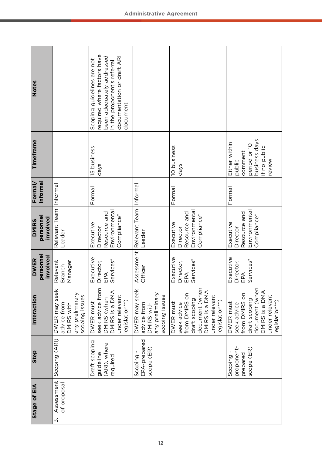| Notes                                 |                                                                                 | required where factors have<br>been adequately addressed<br>documentation or draft ARI<br>Scoping guidelines are not<br>in the proponent's referral<br>document |                                                                                 |                                                                                                                                    |                                                                                                                                    |
|---------------------------------------|---------------------------------------------------------------------------------|-----------------------------------------------------------------------------------------------------------------------------------------------------------------|---------------------------------------------------------------------------------|------------------------------------------------------------------------------------------------------------------------------------|------------------------------------------------------------------------------------------------------------------------------------|
| Timeframe                             |                                                                                 | 15 business<br>days                                                                                                                                             |                                                                                 | 10 business<br>days                                                                                                                | business days<br>Either within<br>period or 10<br>if no public<br>comment<br>review<br>public                                      |
| Informal<br>Formal/                   | Informal                                                                        | Formal                                                                                                                                                          |                                                                                 | Formal                                                                                                                             | Formal                                                                                                                             |
| personnel<br>involved<br><b>DMIRS</b> | Relevant Team<br>Leader                                                         | Environmental<br>Resource and<br>Compliance*<br>Executive<br>Director,                                                                                          | Relevant Team   Informal<br>Leader                                              | Environmental<br>Resource and<br>Compliance*<br>Executive<br>Director,                                                             | Environmental<br>Resource and<br>Compliance*<br>Executive<br>Director,                                                             |
| personnel<br>involved<br><b>DWER</b>  | Relevant<br>Manager<br>Branch                                                   | Executive<br>Services*<br>Director,<br>EPA                                                                                                                      | Assessment<br>Officer                                                           | Executive<br>Services*<br>Director,<br>EPA                                                                                         | Executive<br>Services*<br>Director,<br>EPA                                                                                         |
| Interaction                           | DWER may seek<br>any preliminary<br>scoping issues<br>advice from<br>DMIRS with | seek advice from<br>DMIRS is a DMA<br>under relevant<br>DMIRS (when<br>legislation**)<br>DWER must                                                              | DWER may seek<br>any preliminary<br>scoping issues<br>advice from<br>DMIRS with | document (when<br>DMIRS is a DMA<br>from DMIRS on<br>under relevant<br>draft scoping<br>legislation**)<br>DWER must<br>seek advice | document (when<br>DMIRS is a DMA<br>from DMIRS on<br>under relevant<br>draft scoping<br>legislation**)<br>DWER must<br>seek advice |
| Step                                  | Scoping (ARI)                                                                   | Draft scoping<br>(ARI), where<br>guideline<br>required                                                                                                          | EPA-prepared<br>scope (ER)<br>Scoping-                                          |                                                                                                                                    | proponent-<br>scope (ER)<br>prepared<br>Scoping                                                                                    |
| Stage of EIA                          | Assessment<br>of proposal<br>$\overline{3}$                                     |                                                                                                                                                                 |                                                                                 |                                                                                                                                    |                                                                                                                                    |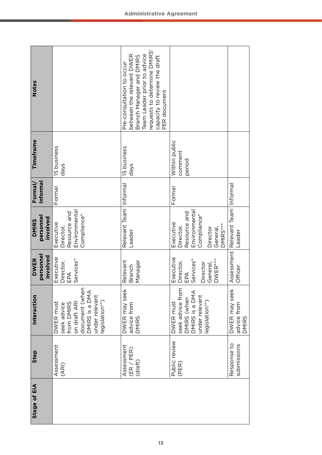| <b>Notes</b>                          |                                                                                                                                | requests to determine DMIRS'<br>between the relevant DWER<br>Team Leader prior to advice<br>Branch Manager and DMIRS<br>capacity to review the draft<br>Pre-consultation to occur<br>PER document |                                                                                                                   |                                              |
|---------------------------------------|--------------------------------------------------------------------------------------------------------------------------------|---------------------------------------------------------------------------------------------------------------------------------------------------------------------------------------------------|-------------------------------------------------------------------------------------------------------------------|----------------------------------------------|
| Timeframe                             | 15 business<br>days                                                                                                            | 15 business<br>days                                                                                                                                                                               | Within public<br>comment<br>period                                                                                |                                              |
| Informal<br>Formal/                   | Formal                                                                                                                         |                                                                                                                                                                                                   | Formal                                                                                                            | Informal                                     |
| personnel<br>involved<br><b>DMIRS</b> | Environmental<br>Resource and<br>Compliance*<br>Executive<br>Director,                                                         | Relevant Team Informal<br>Leader                                                                                                                                                                  | Environmental<br>Resource and<br>Compliance*<br>Executive<br><b>DMIRS***</b><br>Director,<br>Director<br>General, | Relevant Team<br>Leader                      |
| personnel<br>involved<br><b>DWER</b>  | Executive<br>Services*<br>Director,<br>EPA                                                                                     | Relevant<br>Manager<br><b>Branch</b>                                                                                                                                                              | Executive<br>Services*<br>DWER***<br>Director,<br>General,<br>Director<br>EPA                                     | Assessment<br>Officer                        |
| Interaction                           | document (when<br>DMIRS is a DMA<br>under relevant<br>on draft ARI<br>legislation**)<br>from DMIRS<br>DWER must<br>seek advice | DWER may seek<br>advice from<br><b>DMIRS</b>                                                                                                                                                      | seek advice from<br>DMIRS (when<br>DMIRS is a DMA<br>under relevant<br>legislation**)<br>DWER must                | DWER may seek<br>advice from<br><b>DMIRS</b> |
| Step                                  | Assessment<br>(ARI)                                                                                                            | Assessment<br>(ER / PER)<br>$dr$ aft $)$                                                                                                                                                          | Public review<br>(PER)                                                                                            | Response to<br>submissions                   |
| Stage of EIA                          |                                                                                                                                |                                                                                                                                                                                                   |                                                                                                                   |                                              |
|                                       |                                                                                                                                | 13                                                                                                                                                                                                |                                                                                                                   |                                              |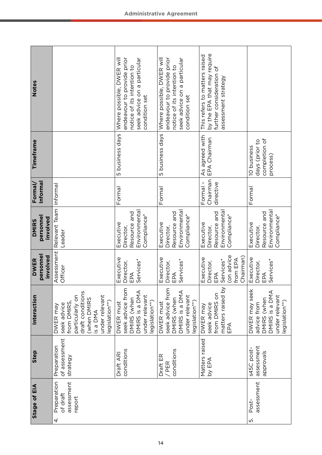| Notes                                 |                                                                                                                                              | endeavour to provide prior<br>Where possible, DWER will<br>seek advice on a particular<br>notice of its intention to<br>condition set | Where possible, DWER will<br>endeavour to provide prior<br>seek advice on a particular<br>notice of its intention to<br>condition set | by the EPA that may require<br>This refers to matters raised<br>further consideration of<br>assessment strategy |                                                                                                   |
|---------------------------------------|----------------------------------------------------------------------------------------------------------------------------------------------|---------------------------------------------------------------------------------------------------------------------------------------|---------------------------------------------------------------------------------------------------------------------------------------|-----------------------------------------------------------------------------------------------------------------|---------------------------------------------------------------------------------------------------|
| Timeframe                             |                                                                                                                                              | 5 business days                                                                                                                       | 5 business days                                                                                                                       | As agreed with<br>EPA Chairman                                                                                  | completion of<br>days (prior to<br>10 business<br>process)                                        |
| Informal<br>Formal/                   | Informal                                                                                                                                     | Formal                                                                                                                                | Formal                                                                                                                                | Chairman<br>directive<br>Formal -                                                                               | Formal                                                                                            |
| personnel<br>involved<br><b>DMIRS</b> | Relevant Team<br>Leader                                                                                                                      | Environmental<br>Resource and<br>Compliance*<br>Executive<br>Director,                                                                | Environmental<br>Resource and<br>Compliance*<br>Executive<br>Director,                                                                | Environmenta<br>Resource and<br>Compliance*<br>Executive<br>Director,                                           | Environmental<br>Resource and<br>Compliance*<br>Executive<br>Director,                            |
| personnel<br>involved<br><b>DWER</b>  | Assessment<br>Officer                                                                                                                        | Executive<br>Services*<br>Director,<br>EPA                                                                                            | Executive<br>Services*<br>Director,<br>EPA                                                                                            | on advice<br>Chairman)<br>Executive<br>from EPA<br>Services*<br>Director,<br>EPA                                | Executive<br>Services*<br>Director,<br>EPA                                                        |
| Interaction                           | draft conditions<br>under relevant<br>particularly on<br>(when DMIRS<br>legislation**)<br>from DMIRS,<br>seek advice<br>DWER may<br>is a DMA | seek advice from<br>DMIRS is a DMA<br>under relevant<br>DMIRS (when<br>legislation**)<br>DWER must                                    | seek advice from<br>DMIRS is a DMA<br>under relevant<br>DMIRS (when<br>legislation**)<br>DWER must                                    | matters raised by<br>from DMIRS on<br>seek advice<br>DWER may<br>EPA                                            | DWER may seek<br>DMIRS is a DM,<br>under relevant<br>DMIRS (when<br>legislation**)<br>advice from |
| Step                                  | of assessment<br>Preparation<br>strategy                                                                                                     | conditions<br>Draft ARI                                                                                                               | conditions<br>Draft ER<br>/ PER                                                                                                       | Matters raised<br>by EPA                                                                                        | assessment<br>s45C post-<br>approvals                                                             |
| Stage of EIA                          | assessment<br>Preparation<br>of draft<br>report<br>4.                                                                                        |                                                                                                                                       |                                                                                                                                       |                                                                                                                 | assessment<br>Post-<br>ιņ                                                                         |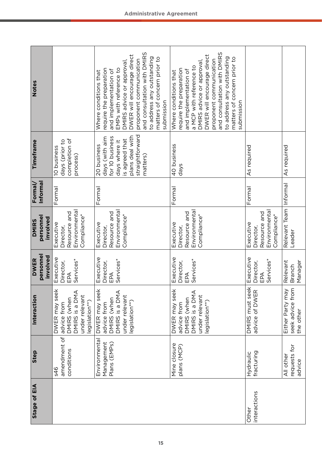| Notes                                 |                                                                                                   | and consultation with DMIRS<br>DWER will encourage direct<br>to address any outstanding<br>matters of concern prior to<br>proponent communication<br>DMIRS advice or approval,<br>require the preparation<br>EMPs with reference to<br>and implementation of<br>Where conditions that<br>submission | and consultation with DMIRS<br>will encourage direct<br>to address any outstanding<br>matters of concern prior to<br>proponent communication<br>DMIRS advice or approval,<br>a MCP with reference to<br>require the preparation<br>and implementation of<br>Where conditions that<br>submission<br><b>DWER</b> |                                                                        |                                                   |
|---------------------------------------|---------------------------------------------------------------------------------------------------|-----------------------------------------------------------------------------------------------------------------------------------------------------------------------------------------------------------------------------------------------------------------------------------------------------|----------------------------------------------------------------------------------------------------------------------------------------------------------------------------------------------------------------------------------------------------------------------------------------------------------------|------------------------------------------------------------------------|---------------------------------------------------|
| Timeframe                             | completion of<br>days (prior to<br>10 business<br>process)                                        | straightforward<br>plans deal with<br>days (with aim<br>for 10 business<br>is agreed that<br>days where it<br>20 business<br>matters)                                                                                                                                                               | 40 business<br>days                                                                                                                                                                                                                                                                                            | As required                                                            | As required                                       |
| Informal<br>Formal/                   | Formal                                                                                            | Formal                                                                                                                                                                                                                                                                                              | Formal                                                                                                                                                                                                                                                                                                         | Formal                                                                 | Informal                                          |
| personnel<br>involved<br><b>DMIRS</b> | Environmental<br>Resource and<br>Compliance*<br>Executive<br>Director,                            | Environmental<br>Resource and<br>Compliance*<br>Executive<br>Director,                                                                                                                                                                                                                              | Environmental<br>Resource and<br>Compliance*<br>Executive<br>Director,                                                                                                                                                                                                                                         | Environmental<br>Resource and<br>Compliance*<br>Executive<br>Director, | Relevant Team<br>Leader                           |
| personnel<br>involved<br><b>DWER</b>  | Executive<br>Services*<br>Director,<br>EPA                                                        | Executive<br>Services*<br>Director,<br>EPA                                                                                                                                                                                                                                                          | Executive<br>Services*<br>Director,<br>EPA                                                                                                                                                                                                                                                                     | Executive<br>Services*<br>Director,<br>EPA                             | Relevant<br>Manager<br><b>Branch</b>              |
| Interaction                           | DWER may seek<br>DMIRS is a DMA<br>under relevant<br>DMIRS (when<br>legislation**)<br>advice from | DWER may seek<br>DMIRS (when<br>DMIRS is a DMA<br>under relevant<br>legislation**)<br>advice from                                                                                                                                                                                                   | DWER may seek<br>DMIRS is a DMA<br>under relevant<br>DMIRS (when<br>legislation**)<br>advice from                                                                                                                                                                                                              | DMIRS must seek<br>advice of DWER                                      | seek advice from<br>Either Party may<br>the other |
| Step                                  | amendment of<br>conditions<br>s46                                                                 | Environmental<br>Management<br>Plans (EMPs)                                                                                                                                                                                                                                                         | Mine closure<br>plans (MCP)                                                                                                                                                                                                                                                                                    | fracturing<br>Hydraulic                                                | requests for<br>All other<br>advice               |
| Stage of EIA                          |                                                                                                   |                                                                                                                                                                                                                                                                                                     |                                                                                                                                                                                                                                                                                                                | interactions<br>Other                                                  |                                                   |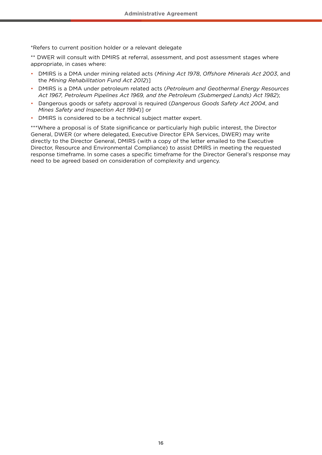\*Refers to current position holder or a relevant delegate

\*\* DWER will consult with DMIRS at referral, assessment, and post assessment stages where appropriate, in cases where:

- DMIRS is a DMA under mining related acts (*Mining Act 1978*, *Offshore Minerals Act 2003*, and the *Mining Rehabilitation Fund Act 2012*)]
- DMIRS is a DMA under petroleum related acts (*Petroleum and Geothermal Energy Resources Act 1967, Petroleum Pipelines Act 1969, and the Petroleum (Submerged Lands) Act 1982*);
- Dangerous goods or safety approval is required (*Dangerous Goods Safety Act 2004*, and *Mines Safety and Inspection Act 1994*)] or
- DMIRS is considered to be a technical subject matter expert.

\*\*\*Where a proposal is of State significance or particularly high public interest, the Director General, DWER (or where delegated, Executive Director EPA Services, DWER) may write directly to the Director General, DMIRS (with a copy of the letter emailed to the Executive Director, Resource and Environmental Compliance) to assist DMIRS in meeting the requested response timeframe. In some cases a specific timeframe for the Director General's response may need to be agreed based on consideration of complexity and urgency.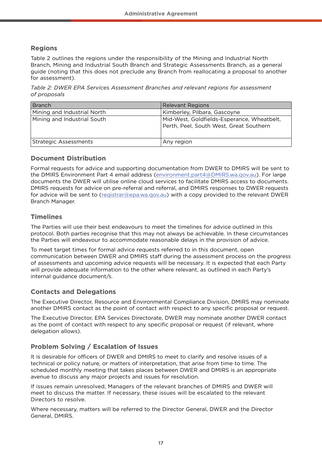#### **Regions**

Table 2 outlines the regions under the responsibility of the Mining and Industrial North Branch, Mining and Industrial South Branch and Strategic Assessments Branch, as a general guide (noting that this does not preclude any Branch from reallocating a proposal to another for assessment).

*Table 2: DWER EPA Services Assessment Branches and relevant regions for assessment of proposals*

| <b>Branch</b>                | Relevant Regions                                                                      |
|------------------------------|---------------------------------------------------------------------------------------|
| Mining and Industrial North  | Kimberley, Pilbara, Gascoyne                                                          |
| Mining and Industrial South  | Mid-West, Goldfields-Esperance, Wheatbelt,<br>Perth, Peel, South West, Great Southern |
| <b>Strategic Assessments</b> | Any region                                                                            |

#### **Document Distribution**

Formal requests for advice and supporting documentation from DWER to DMIRS will be sent to the DMIRS Environment Part 4 email address ([environment.part4@DMIRS.wa.qov.au](mailto:environment.part4@DMIRS.wa.qov.au)). For large documents the DWER will utilise online cloud services to facilitate DMIRS access to documents. DMIRS requests for advice on pre-referral and referral, and DMIRS responses to DWER requests for advice will be sent to (registrar@epa.wa.gov.au) with a copy provided to the relevant DWER Branch Manager.

#### **Timelines**

The Parties will use their best endeavours to meet the timelines for advice outlined in this protocol. Both parties recognise that this may not always be achievable. In these circumstances the Parties will endeavour to accommodate reasonable delays in the provision of advice.

To meet target times for formal advice requests referred to in this document, open communication between DWER and DMIRS staff during the assessment process on the progress of assessments and upcoming advice requests will be necessary. It is expected that each Party will provide adequate information to the other where relevant, as outlined in each Party's internal guidance document/s.

#### **Contacts and Delegations**

The Executive Director, Resource and Environmental Compliance Division, DMIRS may nominate another DMIRS contact as the point of contact with respect to any specific proposal or request.

The Executive Director, EPA Services Directorate, DWER may nominate another DWER contact as the point of contact with respect to any specific proposal or request (if relevant, where delegation allows).

## **Problem Solving / Escalation of Issues**

It is desirable for officers of DWER and DMIRS to meet to clarify and resolve issues of a technical or policy nature, or matters of interpretation, that arise from time to time. The scheduled monthly meeting that takes places between DWER and DMIRS is an appropriate avenue to discuss any major projects and issues for resolution.

If issues remain unresolved, Managers of the relevant branches of DMIRS and DWER will meet to discuss the matter. If necessary, these issues will be escalated to the relevant Directors to resolve.

Where necessary, matters will be referred to the Director General, DWER and the Director General, DMIRS.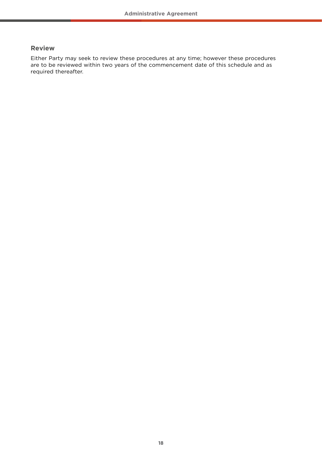#### **Review**

Either Party may seek to review these procedures at any time; however these procedures are to be reviewed within two years of the commencement date of this schedule and as required thereafter.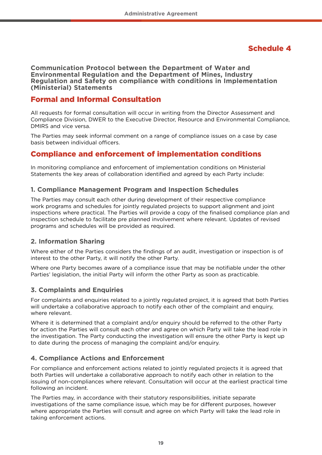## Schedule 4

**Communication Protocol between the Department of Water and Environmental Regulation and the Department of Mines, Industry Regulation and Safety on compliance with conditions in Implementation (Ministerial) Statements**

## Formal and Informal Consultation

All requests for formal consultation will occur in writing from the Director Assessment and Compliance Division, DWER to the Executive Director, Resource and Environmental Compliance, DMIRS and vice versa.

The Parties may seek informal comment on a range of compliance issues on a case by case basis between individual officers.

## Compliance and enforcement of implementation conditions

In monitoring compliance and enforcement of implementation conditions on Ministerial Statements the key areas of collaboration identified and agreed by each Party include:

#### **1. Compliance Management Program and Inspection Schedules**

The Parties may consult each other during development of their respective compliance work programs and schedules for jointly regulated projects to support alignment and joint inspections where practical. The Parties will provide a copy of the finalised compliance plan and inspection schedule to facilitate pre planned involvement where relevant. Updates of revised programs and schedules will be provided as required.

#### **2. Information Sharing**

Where either of the Parties considers the findings of an audit, investigation or inspection is of interest to the other Party, it will notify the other Party.

Where one Party becomes aware of a compliance issue that may be notifiable under the other Parties' legislation, the initial Party will inform the other Party as soon as practicable.

#### **3. Complaints and Enquiries**

For complaints and enquiries related to a jointly regulated project, it is agreed that both Parties will undertake a collaborative approach to notify each other of the complaint and enquiry, where relevant.

Where it is determined that a complaint and/or enquiry should be referred to the other Party for action the Parties will consult each other and agree on which Party will take the lead role in the investigation. The Party conducting the investigation will ensure the other Party is kept up to date during the process of managing the complaint and/or enquiry.

#### **4. Compliance Actions and Enforcement**

For compliance and enforcement actions related to jointly regulated projects it is agreed that both Parties will undertake a collaborative approach to notify each other in relation to the issuing of non-compliances where relevant. Consultation will occur at the earliest practical time following an incident.

The Parties may, in accordance with their statutory responsibilities, initiate separate investigations of the same compliance issue, which may be for different purposes, however where appropriate the Parties will consult and agree on which Party will take the lead role in taking enforcement actions.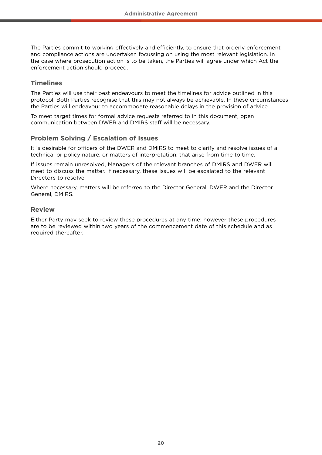The Parties commit to working effectively and efficiently, to ensure that orderly enforcement and compliance actions are undertaken focussing on using the most relevant legislation. In the case where prosecution action is to be taken, the Parties will agree under which Act the enforcement action should proceed.

#### **Timelines**

The Parties will use their best endeavours to meet the timelines for advice outlined in this protocol. Both Parties recognise that this may not always be achievable. In these circumstances the Parties will endeavour to accommodate reasonable delays in the provision of advice.

To meet target times for formal advice requests referred to in this document, open communication between DWER and DMIRS staff will be necessary.

#### **Problem Solving / Escalation of Issues**

It is desirable for officers of the DWER and DMIRS to meet to clarify and resolve issues of a technical or policy nature, or matters of interpretation, that arise from time to time.

If issues remain unresolved, Managers of the relevant branches of DMIRS and DWER will meet to discuss the matter. If necessary, these issues will be escalated to the relevant Directors to resolve.

Where necessary, matters will be referred to the Director General, DWER and the Director General, DMIRS.

#### **Review**

Either Party may seek to review these procedures at any time; however these procedures are to be reviewed within two years of the commencement date of this schedule and as required thereafter.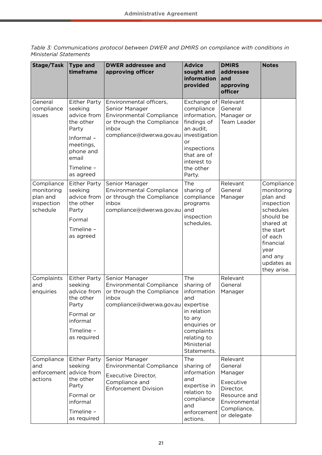| Table 3: Communications protocol between DWER and DMIRS on compliance with conditions in |  |  |
|------------------------------------------------------------------------------------------|--|--|
| Ministerial Statements                                                                   |  |  |

| Stage/Task                                                     | <b>Type and</b><br>timeframe                                                                                                                   | <b>DWER addressee and</b><br>approving officer                                                                                                  | <b>Advice</b><br>sought and<br>information<br>provided                                                                                                           | <b>DMIRS</b><br>addressee<br>and<br>approving<br>officer                                                                | <b>Notes</b>                                                                                                                                                                   |
|----------------------------------------------------------------|------------------------------------------------------------------------------------------------------------------------------------------------|-------------------------------------------------------------------------------------------------------------------------------------------------|------------------------------------------------------------------------------------------------------------------------------------------------------------------|-------------------------------------------------------------------------------------------------------------------------|--------------------------------------------------------------------------------------------------------------------------------------------------------------------------------|
| General<br>compliance<br>issues                                | <b>Either Party</b><br>seeking<br>advice from<br>the other<br>Party<br>Informal-<br>meetings,<br>phone and<br>email<br>Timeline -<br>as agreed | Environmental officers,<br>Senior Manager<br><b>Environmental Compliance</b><br>or through the Compliance<br>inbox<br>compliance@dwer.wa.gov.au | Exchange of<br>compliance<br>information,<br>findings of<br>an audit,<br>investigation<br>or<br>inspections<br>that are of<br>interest to<br>the other<br>Party. | Relevant<br>General<br>Manager or<br>Team Leader                                                                        |                                                                                                                                                                                |
| Compliance<br>monitoring<br>plan and<br>inspection<br>schedule | <b>Either Party</b><br>seeking<br>advice from<br>the other<br>Party<br>Formal<br>Timeline -<br>as agreed                                       | Senior Manager<br><b>Environmental Compliance</b><br>or through the Compliance<br>inbox<br>compliance@dwer.wa.gov.au                            | The<br>sharing of<br>compliance<br>programs<br>and<br>inspection<br>schedules.                                                                                   | Relevant<br>General<br>Manager                                                                                          | Compliance<br>monitoring<br>plan and<br>inspection<br>schedules<br>should be<br>shared at<br>the start<br>of each<br>financial<br>year<br>and any<br>updates as<br>they arise. |
| Complaints<br>and<br>enquiries                                 | <b>Either Party</b><br>seeking<br>advice from<br>the other<br>Party<br>Formal or<br>informal<br>Timeline -<br>as required                      | Senior Manager<br><b>Environmental Compliance</b><br>or through the Compliance<br>inbox<br>compliance@dwer.wa.gov.au expertise                  | The<br>sharing of<br>information<br>and<br>in relation<br>to any<br>enquiries or<br>complaints<br>relating to<br>Ministerial<br>Statements.                      | Relevant<br>General<br>Manager                                                                                          |                                                                                                                                                                                |
| Compliance<br>and<br>enforcement<br>actions                    | <b>Either Party</b><br>seeking<br>advice from<br>the other<br>Party<br>Formal or<br>informal<br>Timeline -<br>as required                      | Senior Manager<br><b>Environmental Compliance</b><br>Executive Director,<br>Compliance and<br><b>Enforcement Division</b>                       | The<br>sharing of<br>information<br>and<br>expertise in<br>relation to<br>compliance<br>and<br>enforcement<br>actions.                                           | Relevant<br>General<br>Manager<br>Executive<br>Director,<br>Resource and<br>Environmental<br>Compliance,<br>or delegate |                                                                                                                                                                                |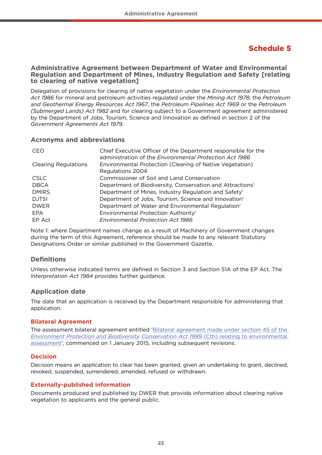## Schedule 5

#### **Administrative Agreement between Department of Water and Environmental Regulation and Department of Mines, Industry Regulation and Safety [relating to clearing of native vegetation]**

Delegation of provisions for clearing of native vegetation under the *Environmental Protection Act 1986* for mineral and petroleum activities regulated under the *Mining Act 1978*, the *Petroleum and Geothermal Energy Resources Act 1967*, the *Petroleum Pipelines Act 1969* or the *Petroleum (Submerged Lands) Act 1982* and for clearing subject to a Government agreement administered by the Department of Jobs, Tourism, Science and Innovation as defined in section 2 of the *Government Agreements Act 1979*.

#### **Acronyms and abbreviations**

| Chief Executive Officer of the Department responsible for the<br>administration of the <i>Environmental Protection Act 1986</i> |
|---------------------------------------------------------------------------------------------------------------------------------|
| Environmental Protection (Clearing of Native Vegetation)                                                                        |
| Regulations 2004                                                                                                                |
| Commissioner of Soil and Land Conservation                                                                                      |
| Department of Biodiversity, Conservation and Attractions <sup>1</sup>                                                           |
| Department of Mines, Industry Regulation and Safety <sup>1</sup>                                                                |
| Department of Jobs, Tourism, Science and Innovation <sup>1</sup>                                                                |
| Department of Water and Environmental Regulation <sup>1</sup>                                                                   |
| Environmental Protection Authority <sup>1</sup>                                                                                 |
| <i>Environmental Protection Act 1986</i>                                                                                        |
|                                                                                                                                 |

Note 1: where Department names change as a result of Machinery of Government changes during the term of this Agreement, reference should be made to any relevant Statutory Designations Order or similar published in the Government Gazette.

#### **Definitions**

Unless otherwise indicated terms are defined in Section 3 and Section 51A of the EP Act. The *Interpretation Act 1984* provides further guidance.

#### **Application date**

The date that an application is received by the Department responsible for administering that application.

#### **Bilateral Agreement**

The assessment bilateral agreement entitled 'Bilateral agreement made under section 45 of the *Environment Protection and Biodiversity Conservation Act 1999* (Cth) relating to environmental assessment', commenced on 1 January 2015, including subsequent revisions.

#### **Decision**

Decision means an application to clear has been granted, given an undertaking to grant, declined, revoked, suspended, surrendered, amended, refused or withdrawn.

#### **Externally-published information**

Documents produced and published by DWER that provide information about clearing native vegetation to applicants and the general public.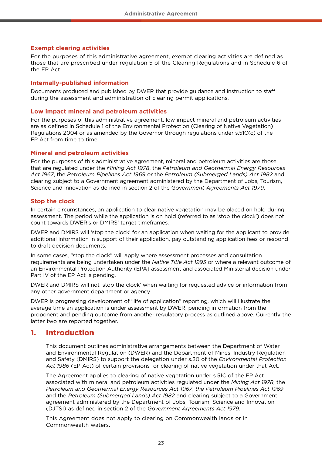#### **Exempt clearing activities**

For the purposes of this administrative agreement, exempt clearing activities are defined as those that are prescribed under regulation 5 of the Clearing Regulations and in Schedule 6 of the EP Act.

#### **Internally-published information**

Documents produced and published by DWER that provide guidance and instruction to staff during the assessment and administration of clearing permit applications.

#### **Low impact mineral and petroleum activities**

For the purposes of this administrative agreement, low impact mineral and petroleum activities are as defined in Schedule 1 of the Environmental Protection (Clearing of Native Vegetation) Regulations 2004 or as amended by the Governor through regulations under s.51C(c) of the EP Act from time to time.

#### **Mineral and petroleum activities**

For the purposes of this administrative agreement, mineral and petroleum activities are those that are regulated under the *Mining Act 1978*, the *Petroleum and Geothermal Energy Resources Act 1967*, the *Petroleum Pipelines Act 1969* or the *Petroleum (Submerged Lands) Act 1982* and clearing subject to a Government agreement administered by the Department of Jobs, Tourism, Science and Innovation as defined in section 2 of the Gov*ernment Agreements Act 1979*.

#### **Stop the clock**

In certain circumstances, an application to clear native vegetation may be placed on hold during assessment. The period while the application is on hold (referred to as 'stop the clock') does not count towards DWER's or DMIRS' target timeframes.

DWER and DMIRS will 'stop the clock' for an application when waiting for the applicant to provide additional information in support of their application, pay outstanding application fees or respond to draft decision documents.

In some cases, "stop the clock" will apply where assessment processes and consultation requirements are being undertaken under the *Native Title Act 1993* or where a relevant outcome of an Environmental Protection Authority (EPA) assessment and associated Ministerial decision under Part IV of the EP Act is pending.

DWER and DMIRS will not 'stop the clock' when waiting for requested advice or information from any other government department or agency.

DWER is progressing development of "life of application" reporting, which will illustrate the average time an application is under assessment by DWER, pending information from the proponent and pending outcome from another regulatory process as outlined above. Currently the latter two are reported together.

## 1. Introduction

This document outlines administrative arrangements between the Department of Water and Environmental Regulation (DWER) and the Department of Mines, Industry Regulation and Safety (DMIRS) to support the delegation under s.20 of the *Environmental Protection Act 1986* (EP Act) of certain provisions for clearing of native vegetation under that Act.

The Agreement applies to clearing of native vegetation under s.51C of the EP Act associated with mineral and petroleum activities regulated under the *Mining Act 1978*, the *Petroleum and Geothermal Energy Resources Act 1967*, *the Petroleum Pipelines Act 1969*  and the *Petroleum (Submerged Lands) Act 1982* and clearing subject to a Government agreement administered by the Department of Jobs, Tourism, Science and Innovation (DJTSI) as defined in section 2 of the *Government Agreements Act 1979*.

This Agreement does not apply to clearing on Commonwealth lands or in Commonwealth waters.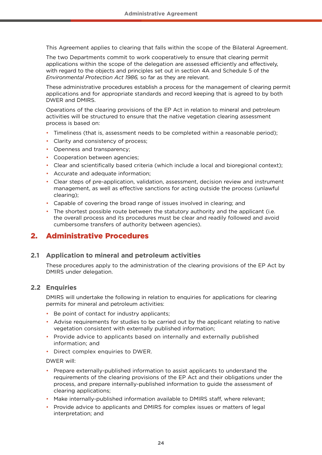This Agreement applies to clearing that falls within the scope of the Bilateral Agreement.

The two Departments commit to work cooperatively to ensure that clearing permit applications within the scope of the delegation are assessed efficiently and effectively, with regard to the objects and principles set out in section 4A and Schedule 5 of the *Environmental Protection Act 1986,* so far as they are relevant.

These administrative procedures establish a process for the management of clearing permit applications and for appropriate standards and record keeping that is agreed to by both DWER and DMIRS.

Operations of the clearing provisions of the EP Act in relation to mineral and petroleum activities will be structured to ensure that the native vegetation clearing assessment process is based on:

- Timeliness (that is, assessment needs to be completed within a reasonable period);
- Clarity and consistency of process;
- Openness and transparency;
- Cooperation between agencies;
- Clear and scientifically based criteria (which include a local and bioregional context);
- Accurate and adequate information;
- Clear steps of pre-application, validation, assessment, decision review and instrument management, as well as effective sanctions for acting outside the process (unlawful clearing);
- Capable of covering the broad range of issues involved in clearing; and
- The shortest possible route between the statutory authority and the applicant (i.e. the overall process and its procedures must be clear and readily followed and avoid cumbersome transfers of authority between agencies).

## 2. Administrative Procedures

#### **2.1 Application to mineral and petroleum activities**

These procedures apply to the administration of the clearing provisions of the EP Act by DMIRS under delegation.

#### **2.2 Enquiries**

DMIRS will undertake the following in relation to enquiries for applications for clearing permits for mineral and petroleum activities:

- Be point of contact for industry applicants;
- Advise requirements for studies to be carried out by the applicant relating to native vegetation consistent with externally published information;
- Provide advice to applicants based on internally and externally published information; and
- Direct complex enquiries to DWER.

DWER will:

- Prepare externally-published information to assist applicants to understand the requirements of the clearing provisions of the EP Act and their obligations under the process, and prepare internally-published information to guide the assessment of clearing applications;
- Make internally-published information available to DMIRS staff, where relevant;
- Provide advice to applicants and DMIRS for complex issues or matters of legal interpretation; and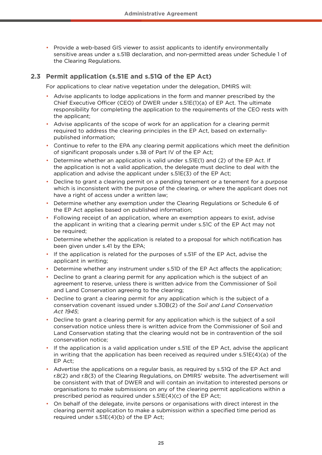• Provide a web-based GIS viewer to assist applicants to identify environmentally sensitive areas under a s.51B declaration, and non-permitted areas under Schedule 1 of the Clearing Regulations.

#### **2.3 Permit application (s.51E and s.51Q of the EP Act)**

For applications to clear native vegetation under the delegation, DMIRS will:

- Advise applicants to lodge applications in the form and manner prescribed by the Chief Executive Officer (CEO) of DWER under s.51E(1)(a) of EP Act. The ultimate responsibility for completing the application to the requirements of the CEO rests with the applicant;
- Advise applicants of the scope of work for an application for a clearing permit required to address the clearing principles in the EP Act, based on externallypublished information;
- Continue to refer to the EPA any clearing permit applications which meet the definition of significant proposals under s.38 of Part IV of the EP Act;
- Determine whether an application is valid under s.51E(1) and (2) of the EP Act. If the application is not a valid application, the delegate must decline to deal with the application and advise the applicant under s.51E(3) of the EP Act;
- Decline to grant a clearing permit on a pending tenement or a tenement for a purpose which is inconsistent with the purpose of the clearing, or where the applicant does not have a right of access under a written law;
- Determine whether any exemption under the Clearing Regulations or Schedule 6 of the EP Act applies based on published information;
- Following receipt of an application, where an exemption appears to exist, advise the applicant in writing that a clearing permit under s.51C of the EP Act may not be required;
- Determine whether the application is related to a proposal for which notification has been given under s.41 by the EPA;
- If the application is related for the purposes of s.51F of the EP Act, advise the applicant in writing;
- Determine whether any instrument under s.51D of the EP Act affects the application;
- Decline to grant a clearing permit for any application which is the subject of an agreement to reserve, unless there is written advice from the Commissioner of Soil and Land Conservation agreeing to the clearing;
- Decline to grant a clearing permit for any application which is the subject of a conservation covenant issued under s.30B(2) of the *Soil and Land Conservation Act 1945*;
- Decline to grant a clearing permit for any application which is the subject of a soil conservation notice unless there is written advice from the Commissioner of Soil and Land Conservation stating that the clearing would not be in contravention of the soil conservation notice;
- If the application is a valid application under s.51E of the EP Act, advise the applicant in writing that the application has been received as required under s.51E(4)(a) of the EP Act;
- Advertise the applications on a regular basis, as required by s.51Q of the EP Act and r.8(2) and r.8(3) of the Clearing Regulations, on DMIRS' website. The advertisement will be consistent with that of DWER and will contain an invitation to interested persons or organisations to make submissions on any of the clearing permit applications within a prescribed period as required under s.51E(4)(c) of the EP Act;
- On behalf of the delegate, invite persons or organisations with direct interest in the clearing permit application to make a submission within a specified time period as required under s.51E(4)(b) of the EP Act;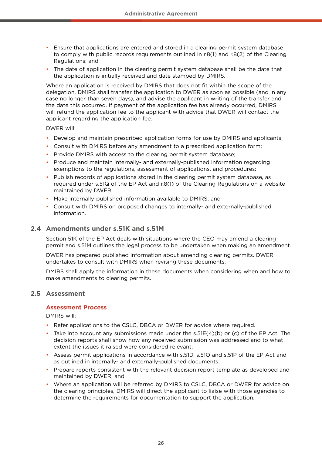- Ensure that applications are entered and stored in a clearing permit system database to comply with public records requirements outlined in r.8(1) and r.8(2) of the Clearing Regulations; and
- The date of application in the clearing permit system database shall be the date that the application is initially received and date stamped by DMIRS.

Where an application is received by DMIRS that does not fit within the scope of the delegation, DMIRS shall transfer the application to DWER as soon as possible (and in any case no longer than seven days), and advise the applicant in writing of the transfer and the date this occurred. If payment of the application fee has already occurred, DMIRS will refund the application fee to the applicant with advice that DWER will contact the applicant regarding the application fee.

DWER will:

- Develop and maintain prescribed application forms for use by DMIRS and applicants;
- Consult with DMIRS before any amendment to a prescribed application form;
- Provide DMIRS with access to the clearing permit system database;
- Produce and maintain internally- and externally-published information regarding exemptions to the regulations, assessment of applications, and procedures;
- Publish records of applications stored in the clearing permit system database, as required under s.51Q of the EP Act and r.8(1) of the Clearing Regulations on a website maintained by DWER;
- Make internally-published information available to DMIRS; and
- Consult with DMIRS on proposed changes to internally- and externally-published information.

#### **2.4 Amendments under s.51K and s.51M**

Section 51K of the EP Act deals with situations where the CEO may amend a clearing permit and s.51M outlines the legal process to be undertaken when making an amendment.

DWER has prepared published information about amending clearing permits. DWER undertakes to consult with DMIRS when revising these documents.

DMIRS shall apply the information in these documents when considering when and how to make amendments to clearing permits.

#### **2.5 Assessment**

#### **Assessment Process**

DMIRS will:

- Refer applications to the CSLC, DBCA or DWER for advice where required.
- Take into account any submissions made under the  $s.51E(4)(b)$  or (c) of the EP Act. The decision reports shall show how any received submission was addressed and to what extent the issues it raised were considered relevant;
- Assess permit applications in accordance with s.51D, s.51O and s.51P of the EP Act and as outlined in internally- and externally-published documents;
- Prepare reports consistent with the relevant decision report template as developed and maintained by DWER; and
- Where an application will be referred by DMIRS to CSLC, DBCA or DWER for advice on the clearing principles, DMIRS will direct the applicant to liaise with those agencies to determine the requirements for documentation to support the application.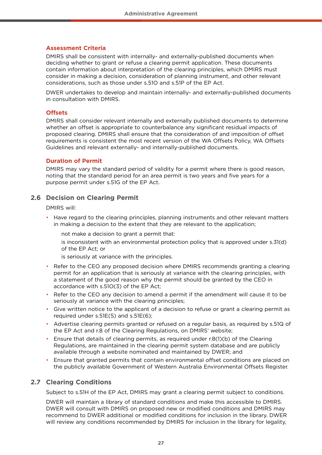#### **Assessment Criteria**

DMIRS shall be consistent with internally- and externally-published documents when deciding whether to grant or refuse a clearing permit application. These documents contain information about interpretation of the clearing principles, which DMIRS must consider in making a decision, consideration of planning instrument, and other relevant considerations, such as those under s.51O and s.51P of the EP Act.

DWER undertakes to develop and maintain internally- and externally-published documents in consultation with DMIRS.

#### **Offsets**

DMIRS shall consider relevant internally and externally published documents to determine whether an offset is appropriate to counterbalance any significant residual impacts of proposed clearing. DMIRS shall ensure that the consideration of and imposition of offset requirements is consistent the most recent version of the WA Offsets Policy, WA Offsets Guidelines and relevant externally- and internally-published documents.

#### **Duration of Permit**

DMIRS may vary the standard period of validity for a permit where there is good reason, noting that the standard period for an area permit is two years and five years for a purpose permit under s.51G of the EP Act.

#### **2.6 Decision on Clearing Permit**

DMIRS will:

• Have regard to the clearing principles, planning instruments and other relevant matters in making a decision to the extent that they are relevant to the application;

not make a decision to grant a permit that:

is inconsistent with an environmental protection policy that is approved under s.31(d) of the EP Act; or

is seriously at variance with the principles.

- Refer to the CEO any proposed decision where DMIRS recommends granting a clearing permit for an application that is seriously at variance with the clearing principles, with a statement of the good reason why the permit should be granted by the CEO in accordance with s.51O(3) of the EP Act;
- Refer to the CEO any decision to amend a permit if the amendment will cause it to be seriously at variance with the clearing principles;
- Give written notice to the applicant of a decision to refuse or grant a clearing permit as required under  $s.51E(5)$  and  $s.51E(6)$ ;
- Advertise clearing permits granted or refused on a regular basis, as required by s.51Q of the EP Act and r.8 of the Clearing Regulations, on DMIRS' website;
- Ensure that details of clearing permits, as required under r.8(1)(b) of the Clearing Regulations, are maintained in the clearing permit system database and are publicly available through a website nominated and maintained by DWER; and
- Ensure that granted permits that contain environmental offset conditions are placed on the publicly available Government of Western Australia Environmental Offsets Register.

#### **2.7 Clearing Conditions**

Subject to s.51H of the EP Act, DMIRS may grant a clearing permit subject to conditions.

DWER will maintain a library of standard conditions and make this accessible to DMIRS. DWER will consult with DMIRS on proposed new or modified conditions and DMIRS may recommend to DWER additional or modified conditions for inclusion in the library. DWER will review any conditions recommended by DMIRS for inclusion in the library for legality,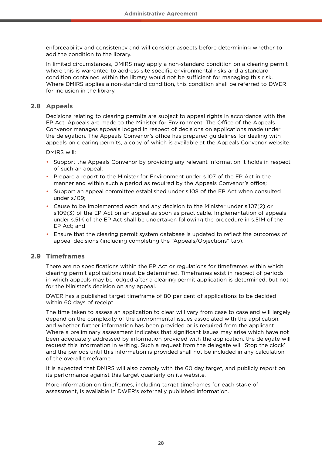enforceability and consistency and will consider aspects before determining whether to add the condition to the library.

In limited circumstances, DMIRS may apply a non-standard condition on a clearing permit where this is warranted to address site specific environmental risks and a standard condition contained within the library would not be sufficient for managing this risk. Where DMIRS applies a non-standard condition, this condition shall be referred to DWER for inclusion in the library.

#### **2.8 Appeals**

Decisions relating to clearing permits are subject to appeal rights in accordance with the EP Act. Appeals are made to the Minister for Environment. The Office of the Appeals Convenor manages appeals lodged in respect of decisions on applications made under the delegation. The Appeals Convenor's office has prepared guidelines for dealing with appeals on clearing permits, a copy of which is available at the [Appeals Convenor](http://www.appealsconvenor.wa.gov.au/) [website.](http://www.appealsconvenor.wa.gov.au/)

DMIRS will:

- Support the Appeals Convenor by providing any relevant information it holds in respect of such an appeal;
- Prepare a report to the Minister for Environment under s.107 of the EP Act in the manner and within such a period as required by the Appeals Convenor's office;
- Support an appeal committee established under s.108 of the EP Act when consulted under s.109;
- Cause to be implemented each and any decision to the Minister under s.107(2) or s.109(3) of the EP Act on an appeal as soon as practicable. Implementation of appeals under s.51K of the EP Act shall be undertaken following the procedure in s.51M of the EP Act; and
- Ensure that the clearing permit system database is updated to reflect the outcomes of appeal decisions (including completing the "Appeals/Objections" tab).

#### **2.9 Timeframes**

There are no specifications within the EP Act or regulations for timeframes within which clearing permit applications must be determined. Timeframes exist in respect of periods in which appeals may be lodged after a clearing permit application is determined, but not for the Minister's decision on any appeal.

DWER has a published target timeframe of 80 per cent of applications to be decided within 60 days of receipt.

The time taken to assess an application to clear will vary from case to case and will largely depend on the complexity of the environmental issues associated with the application, and whether further information has been provided or is required from the applicant. Where a preliminary assessment indicates that significant issues may arise which have not been adequately addressed by information provided with the application, the delegate will request this information in writing. Such a request from the delegate will 'Stop the clock' and the periods until this information is provided shall not be included in any calculation of the overall timeframe.

It is expected that DMIRS will also comply with the 60 day target, and publicly report on its performance against this target quarterly on its website.

More information on timeframes, including target timeframes for each stage of assessment, is available in DWER's externally published information.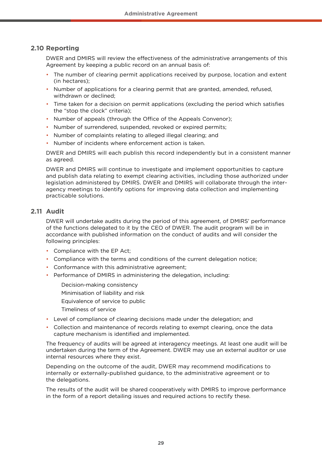#### **2.10 Reporting**

DWER and DMIRS will review the effectiveness of the administrative arrangements of this Agreement by keeping a public record on an annual basis of:

- The number of clearing permit applications received by purpose, location and extent (in hectares);
- Number of applications for a clearing permit that are granted, amended, refused, withdrawn or declined;
- Time taken for a decision on permit applications (excluding the period which satisfies the "stop the clock" criteria);
- Number of appeals (through the Office of the Appeals Convenor);
- Number of surrendered, suspended, revoked or expired permits;
- Number of complaints relating to alleged illegal clearing; and
- Number of incidents where enforcement action is taken.

DWER and DMIRS will each publish this record independently but in a consistent manner as agreed.

DWER and DMIRS will continue to investigate and implement opportunities to capture and publish data relating to exempt clearing activities, including those authorized under legislation administered by DMIRS. DWER and DMIRS will collaborate through the interagency meetings to identify options for improving data collection and implementing practicable solutions.

#### **2.11 Audit**

DWER will undertake audits during the period of this agreement, of DMIRS' performance of the functions delegated to it by the CEO of DWER. The audit program will be in accordance with published information on the conduct of audits and will consider the following principles:

- Compliance with the EP Act;
- Compliance with the terms and conditions of the current delegation notice;
- Conformance with this administrative agreement;
- Performance of DMIRS in administering the delegation, including:
	- Decision-making consistency
	- Minimisation of liability and risk
	- Equivalence of service to public
	- Timeliness of service
- Level of compliance of clearing decisions made under the delegation; and
- Collection and maintenance of records relating to exempt clearing, once the data capture mechanism is identified and implemented.

The frequency of audits will be agreed at interagency meetings. At least one audit will be undertaken during the term of the Agreement. DWER may use an external auditor or use internal resources where they exist.

Depending on the outcome of the audit, DWER may recommend modifications to internally or externally-published guidance, to the administrative agreement or to the delegations.

The results of the audit will be shared cooperatively with DMIRS to improve performance in the form of a report detailing issues and required actions to rectify these.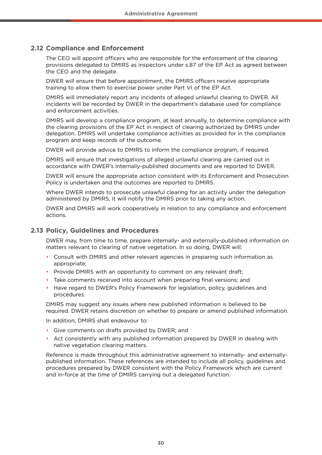#### **2.12 Compliance and Enforcement**

The CEO will appoint officers who are responsible for the enforcement of the clearing provisions delegated to DMIRS as inspectors under s.87 of the EP Act as agreed between the CEO and the delegate.

DWER will ensure that before appointment, the DMIRS officers receive appropriate training to allow them to exercise power under Part VI of the EP Act.

DMIRS will immediately report any incidents of alleged unlawful clearing to DWER. All incidents will be recorded by DWER in the department's database used for compliance and enforcement activities.

DMIRS will develop a compliance program, at least annually, to determine compliance with the clearing provisions of the EP Act in respect of clearing authorized by DMIRS under delegation. DMIRS will undertake compliance activities as provided for in the compliance program and keep records of the outcome.

DWER will provide advice to DMIRS to inform the compliance program, if required.

DMIRS will ensure that investigations of alleged unlawful clearing are carried out in accordance with DWER's internally-published documents and are reported to DWER.

DWER will ensure the appropriate action consistent with its Enforcement and Prosecution Policy is undertaken and the outcomes are reported to DMIRS.

Where DWER intends to prosecute unlawful clearing for an activity under the delegation administered by DMIRS, it will notify the DMIRS prior to taking any action.

DWER and DMIRS will work cooperatively in relation to any compliance and enforcement actions.

#### **2.13 Policy, Guidelines and Procedures**

DWER may, from time to time, prepare internally- and externally-published information on matters relevant to clearing of native vegetation. In so doing, DWER will:

- Consult with DMIRS and other relevant agencies in preparing such information as appropriate;
- Provide DMIRS with an opportunity to comment on any relevant draft;
- Take comments received into account when preparing final versions; and
- Have regard to DWER's Policy Framework for legislation, policy, guidelines and procedures.

DMIRS may suggest any issues where new published information is believed to be required. DWER retains discretion on whether to prepare or amend published information.

In addition, DMIRS shall endeavour to:

- Give comments on drafts provided by DWER; and
- Act consistently with any published information prepared by DWER in dealing with native vegetation clearing matters.

Reference is made throughout this administrative agreement to internally- and externallypublished information. These references are intended to include all policy, guidelines and procedures prepared by DWER consistent with the Policy Framework which are current and in-force at the time of DMIRS carrying out a delegated function.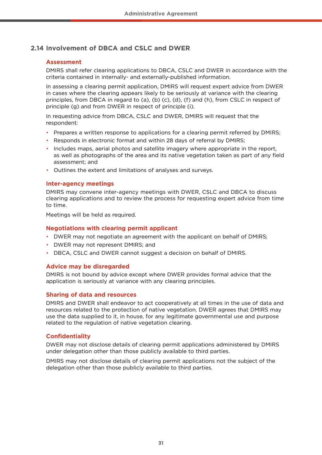#### **2.14 Involvement of DBCA and CSLC and DWER**

#### **Assessment**

DMIRS shall refer clearing applications to DBCA, CSLC and DWER in accordance with the criteria contained in internally- and externally-published information.

In assessing a clearing permit application, DMIRS will request expert advice from DWER in cases where the clearing appears likely to be seriously at variance with the clearing principles, from DBCA in regard to (a), (b) (c), (d), (f) and (h), from CSLC in respect of principle (g) and from DWER in respect of principle (i).

In requesting advice from DBCA, CSLC and DWER, DMIRS will request that the respondent:

- Prepares a written response to applications for a clearing permit referred by DMIRS;
- Responds in electronic format and within 28 days of referral by DMIRS;
- Includes maps, aerial photos and satellite imagery where appropriate in the report, as well as photographs of the area and its native vegetation taken as part of any field assessment; and
- Outlines the extent and limitations of analyses and surveys.

#### **Inter-agency meetings**

DMIRS may convene inter-agency meetings with DWER, CSLC and DBCA to discuss clearing applications and to review the process for requesting expert advice from time to time.

Meetings will be held as required.

#### **Negotiations with clearing permit applicant**

- DWER may not negotiate an agreement with the applicant on behalf of DMIRS;
- DWER may not represent DMIRS; and
- DBCA, CSLC and DWER cannot suggest a decision on behalf of DMIRS.

#### **Advice may be disregarded**

DMIRS is not bound by advice except where DWER provides formal advice that the application is seriously at variance with any clearing principles.

#### **Sharing of data and resources**

DMIRS and DWER shall endeavor to act cooperatively at all times in the use of data and resources related to the protection of native vegetation. DWER agrees that DMIRS may use the data supplied to it, in house, for any legitimate governmental use and purpose related to the regulation of native vegetation clearing.

#### **Confidentiality**

DWER may not disclose details of clearing permit applications administered by DMIRS under delegation other than those publicly available to third parties.

DMIRS may not disclose details of clearing permit applications not the subject of the delegation other than those publicly available to third parties.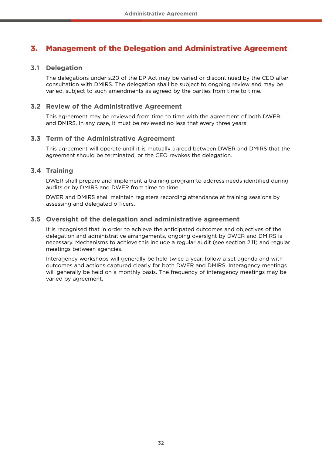## 3. Management of the Delegation and Administrative Agreement

#### **3.1 Delegation**

The delegations under s.20 of the EP Act may be varied or discontinued by the CEO after consultation with DMIRS. The delegation shall be subject to ongoing review and may be varied, subject to such amendments as agreed by the parties from time to time.

#### **3.2 Review of the Administrative Agreement**

This agreement may be reviewed from time to time with the agreement of both DWER and DMIRS. In any case, it must be reviewed no less that every three years.

#### **3.3 Term of the Administrative Agreement**

This agreement will operate until it is mutually agreed between DWER and DMIRS that the agreement should be terminated, or the CEO revokes the delegation.

#### **3.4 Training**

DWER shall prepare and implement a training program to address needs identified during audits or by DMIRS and DWER from time to time.

DWER and DMIRS shall maintain registers recording attendance at training sessions by assessing and delegated officers.

#### **3.5 Oversight of the delegation and administrative agreement**

It is recognised that in order to achieve the anticipated outcomes and objectives of the delegation and administrative arrangements, ongoing oversight by DWER and DMIRS is necessary. Mechanisms to achieve this include a regular audit (see section 2.11) and regular meetings between agencies.

Interagency workshops will generally be held twice a year, follow a set agenda and with outcomes and actions captured clearly for both DWER and DMIRS. Interagency meetings will generally be held on a monthly basis. The frequency of interagency meetings may be varied by agreement.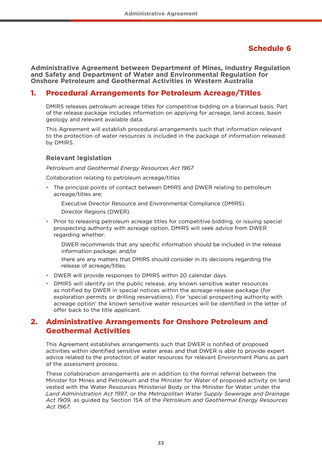## Schedule 6

**Administrative Agreement between Department of Mines, Industry Regulation and Safety and Department of Water and Environmental Regulation for Onshore Petroleum and Geothermal Activities in Western Australia**

## 1. Procedural Arrangements for Petroleum Acreage/Titles

DMIRS releases petroleum acreage titles for competitive bidding on a biannual basis. Part of the release package includes information on applying for acreage, land access, basin geology and relevant available data.

This Agreement will establish procedural arrangements such that information relevant to the protection of water resources is included in the package of information released by DMIRS.

#### **Relevant legislation**

*Petroleum and Geothermal Energy Resources Act 1967*

Collaboration relating to petroleum acreage/titles

• The principal points of contact between DMIRS and DWER relating to petroleum acreage/titles are:

Executive Director Resource and Environmental Compliance (DMIRS) Director Regions (DWER).

• Prior to releasing petroleum acreage titles for competitive bidding, or issuing special prospecting authority with acreage option, DMIRS will seek advice from DWER regarding whether:

DWER recommends that any specific information should be included in the release information package; and/or

there are any matters that DMIRS should consider in its decisions regarding the release of acreage/titles.

- DWER will provide responses to DMIRS within 20 calendar days.
- DMIRS will identify on the public release, any known sensitive water resources as notified by DWER in special notices within the acreage release package (for exploration permits or drilling reservations). For 'special prospecting authority with acreage option' the known sensitive water resources will be identified in the letter of offer back to the title applicant.

## 2. Administrative Arrangements for Onshore Petroleum and Geothermal Activities

This Agreement establishes arrangements such that DWER is notified of proposed activities within identified sensitive water areas and that DWER is able to provide expert advice related to the protection of water resources for relevant Environment Plans as part of the assessment process.

These collaboration arrangements are in addition to the formal referral between the Minister for Mines and Petroleum and the Minister for Water of proposed activity on land vested with the Water Resources Ministerial Body or the Minister for Water under the *Land Administration Act 1997,* or the *Metropolitan Water Supply Sewerage and Drainage Act 1909,* as guided by Section 15A of the *Petroleum and Geothermal Energy Resources Act 1967.*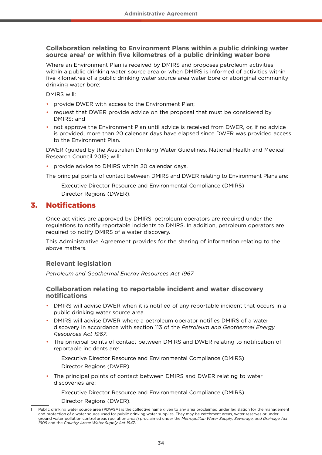#### **Collaboration relating to Environment Plans within a public drinking water**  source area<sup>1</sup> or within five kilometres of a public drinking water bore

Where an Environment Plan is received by DMIRS and proposes petroleum activities within a public drinking water source area or when DMIRS is informed of activities within five kilometres of a public drinking water source area water bore or aboriginal community drinking water bore:

DMIRS will:

- provide DWER with access to the Environment Plan;
- request that DWER provide advice on the proposal that must be considered by DMIRS; and
- not approve the Environment Plan until advice is received from DWER, or, if no advice is provided, more than 20 calendar days have elapsed since DWER was provided access to the Environment Plan.

DWER (guided by the Australian Drinking Water Guidelines, National Health and Medical Research Council 2015) will:

• provide advice to DMIRS within 20 calendar days.

The principal points of contact between DMIRS and DWER relating to Environment Plans are:

Executive Director Resource and Environmental Compliance (DMIRS) Director Regions (DWER).

## 3. Notifications

Once activities are approved by DMIRS, petroleum operators are required under the regulations to notify reportable incidents to DMIRS. In addition, petroleum operators are required to notify DMIRS of a water discovery.

This Administrative Agreement provides for the sharing of information relating to the above matters.

#### **Relevant legislation**

*Petroleum and Geothermal Energy Resources Act 1967*

#### **Collaboration relating to reportable incident and water discovery notifications**

- DMIRS will advise DWER when it is notified of any reportable incident that occurs in a public drinking water source area.
- DMIRS will advise DWER where a petroleum operator notifies DMIRS of a water discovery in accordance with section 113 of the *Petroleum and Geothermal Energy Resources Act 1967*.
- The principal points of contact between DMIRS and DWER relating to notification of reportable incidents are:

Executive Director Resource and Environmental Compliance (DMIRS) Director Regions (DWER).

• The principal points of contact between DMIRS and DWER relating to water discoveries are:

Executive Director Resource and Environmental Compliance (DMIRS)

Director Regions (DWER).

Public drinking water source area (PDWSA) is the collective name given to any area proclaimed under legislation for the management and protection of a water source used for public drinking water supplies, They may be catchment areas, water reserves or underground water pollution control areas (pollution areas) proclaimed under the *Metropolitan Water Supply, Sewerage, and Drainage Act 1909* and the *Country Areae Water Supply Act 1947*.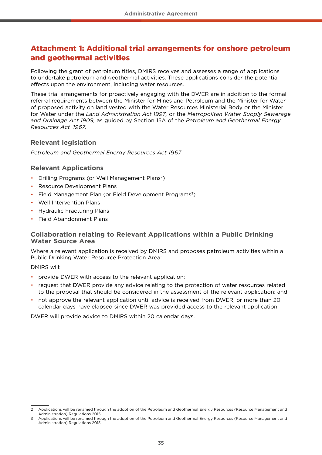## Attachment 1: Additional trial arrangements for onshore petroleum and geothermal activities

Following the grant of petroleum titles, DMIRS receives and assesses a range of applications to undertake petroleum and geothermal activities. These applications consider the potential effects upon the environment, including water resources.

These trial arrangements for proactively engaging with the DWER are in addition to the formal referral requirements between the Minister for Mines and Petroleum and the Minister for Water of proposed activity on land vested with the Water Resources Ministerial Body or the Minister for Water under the *Land Administration Act 1997,* or the *Metropolitan Water Supply Sewerage and Drainage Act 1909,* as guided by Section 15A of the *Petroleum and Geothermal Energy Resources Act 1967.*

#### **Relevant legislation**

*Petroleum and Geothermal Energy Resources Act 1967*

#### **Relevant Applications**

- Drilling Programs (or Well Management Plans<sup>2</sup>)
- Resource Development Plans
- Field Management Plan (or Field Development Programs<sup>3</sup>)
- Well Intervention Plans
- Hydraulic Fracturing Plans
- Field Abandonment Plans

#### **Collaboration relating to Relevant Applications within a Public Drinking Water Source Area**

Where a relevant application is received by DMIRS and proposes petroleum activities within a Public Drinking Water Resource Protection Area:

DMIRS will:

- provide DWER with access to the relevant application;
- request that DWER provide any advice relating to the protection of water resources related to the proposal that should be considered in the assessment of the relevant application; and
- not approve the relevant application until advice is received from DWER, or more than 20 calendar days have elapsed since DWER was provided access to the relevant application.

DWER will provide advice to DMIRS within 20 calendar days.

<sup>2</sup> Applications will be renamed through the adoption of the Petroleum and Geothermal Energy Resources (Resource Management and Administration) Regulations 2015.

<sup>3</sup> Applications will be renamed through the adoption of the Petroleum and Geothermal Energy Resources (Resource Management and Administration) Regulations 2015.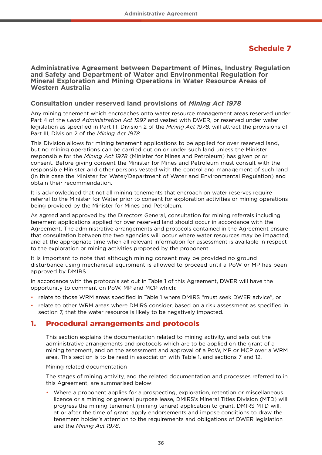## Schedule 7

**Administrative Agreement between Department of Mines, Industry Regulation and Safety and Department of Water and Environmental Regulation for Mineral Exploration and Mining Operations in Water Resource Areas of Western Australia**

#### **Consultation under reserved land provisions of** *Mining Act 1978*

Any mining tenement which encroaches onto water resource management areas reserved under Part 4 of the *Land Administration Act 1997* and vested with DWER, or reserved under water legislation as specified in Part III, Division 2 of the *Mining Act 1978*, will attract the provisions of Part III, Division 2 of the *Mining Act 1978*.

This Division allows for mining tenement applications to be applied for over reserved land, but no mining operations can be carried out on or under such land unless the Minister responsible for the *Mining Act 1978* (Minister for Mines and Petroleum) has given prior consent. Before giving consent the Minister for Mines and Petroleum must consult with the responsible Minister and other persons vested with the control and management of such land (in this case the Minister for Water/Department of Water and Environmental Regulation) and obtain their recommendation.

It is acknowledged that not all mining tenements that encroach on water reserves require referral to the Minister for Water prior to consent for exploration activities or mining operations being provided by the Minister for Mines and Petroleum.

As agreed and approved by the Directors General, consultation for mining referrals including tenement applications applied for over reserved land should occur in accordance with the Agreement. The administrative arrangements and protocols contained in the Agreement ensure that consultation between the two agencies will occur where water resources may be impacted, and at the appropriate time when all relevant information for assessment is available in respect to the exploration or mining activities proposed by the proponent.

It is important to note that although mining consent may be provided no ground disturbance using mechanical equipment is allowed to proceed until a PoW or MP has been approved by DMIRS.

In accordance with the protocols set out in Table 1 of this Agreement, DWER will have the opportunity to comment on PoW, MP and MCP which:

- relate to those WRM areas specified in Table 1 where DMIRS "must seek DWER advice", or
- relate to other WRM areas where DMIRS consider, based on a risk assessment as specified in section 7, that the water resource is likely to be negatively impacted.

## 1. Procedural arrangements and protocols

This section explains the documentation related to mining activity, and sets out the administrative arrangements and protocols which are to be applied on the grant of a mining tenement, and on the assessment and approval of a PoW, MP or MCP over a WRM area. This section is to be read in association with Table 1, and sections 7 and 12.

Mining related documentation

The stages of mining activity, and the related documentation and processes referred to in this Agreement, are summarised below:

• Where a proponent applies for a prospecting, exploration, retention or miscellaneous licence or a mining or general purpose lease, DMIRS's Mineral Titles Division (MTD) will progress the mining tenement (mining tenure) application to grant. DMIRS MTD will, at or after the time of grant, apply endorsements and impose conditions to draw the tenement holder's attention to the requirements and obligations of DWER legislation and the *Mining Act 1978*.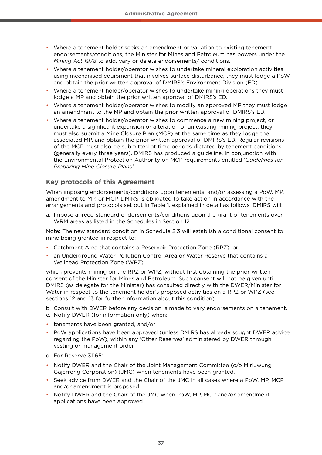- Where a tenement holder seeks an amendment or variation to existing tenement endorsements/conditions, the Minister for Mines and Petroleum has powers under the *Mining Act 1978* to add, vary or delete endorsements/ conditions.
- Where a tenement holder/operator wishes to undertake mineral exploration activities using mechanised equipment that involves surface disturbance, they must lodge a PoW and obtain the prior written approval of DMIRS's Environment Division (ED).
- Where a tenement holder/operator wishes to undertake mining operations they must lodge a MP and obtain the prior written approval of DMIRS's ED.
- Where a tenement holder/operator wishes to modify an approved MP they must lodge an amendment to the MP and obtain the prior written approval of DMIRS's ED.
- Where a tenement holder/operator wishes to commence a new mining project, or undertake a significant expansion or alteration of an existing mining project, they must also submit a Mine Closure Plan (MCP) at the same time as they lodge the associated MP, and obtain the prior written approval of DMIRS's ED. Regular revisions of the MCP must also be submitted at time periods dictated by tenement conditions (generally every three years). DMIRS has produced a guideline, in conjunction with the Environmental Protection Authority on MCP requirements entitled '*Guidelines for Preparing Mine Closure Plans'*.

#### **Key protocols of this Agreement**

When imposing endorsements/conditions upon tenements, and/or assessing a PoW, MP, amendment to MP, or MCP, DMIRS is obligated to take action in accordance with the arrangements and protocols set out in Table 1, explained in detail as follows. DMIRS will:

a. Impose agreed standard endorsements/conditions upon the grant of tenements over WRM areas as listed in the Schedules in Section 12.

Note: The new standard condition in Schedule 2.3 will establish a conditional consent to mine being granted in respect to:

- Catchment Area that contains a Reservoir Protection Zone (RPZ), or
- an Underground Water Pollution Control Area or Water Reserve that contains a Wellhead Protection Zone (WPZ),

which prevents mining on the RPZ or WPZ, without first obtaining the prior written consent of the Minister for Mines and Petroleum. Such consent will not be given until DMIRS (as delegate for the Minister) has consulted directly with the DWER/Minister for Water in respect to the tenement holder's proposed activities on a RPZ or WPZ (see sections 12 and 13 for further information about this condition).

b. Consult with DWER before any decision is made to vary endorsements on a tenement. c. Notify DWER (for information only) when:

- tenements have been granted, and/or
- PoW applications have been approved (unless DMIRS has already sought DWER advice regarding the PoW), within any 'Other Reserves' administered by DWER through vesting or management order.
- d. For Reserve 31165:
- Notify DWER and the Chair of the Joint Management Committee (c/o Miriuwung Gajerrong Corporation) (JMC) when tenements have been granted.
- Seek advice from DWER and the Chair of the JMC in all cases where a PoW, MP, MCP and/or amendment is proposed.
- Notify DWER and the Chair of the JMC when PoW, MP, MCP and/or amendment applications have been approved.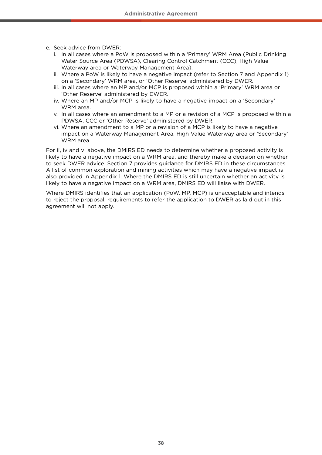- e. Seek advice from DWER:
	- i. In all cases where a PoW is proposed within a 'Primary' WRM Area (Public Drinking Water Source Area (PDWSA), Clearing Control Catchment (CCC), High Value Waterway area or Waterway Management Area).
	- ii. Where a PoW is likely to have a negative impact (refer to Section 7 and Appendix 1) on a 'Secondary' WRM area, or 'Other Reserve' administered by DWER.
	- iii. In all cases where an MP and/or MCP is proposed within a 'Primary' WRM area or 'Other Reserve' administered by DWER.
	- iv. Where an MP and/or MCP is likely to have a negative impact on a 'Secondary' WRM area.
	- v. In all cases where an amendment to a MP or a revision of a MCP is proposed within a PDWSA, CCC or 'Other Reserve' administered by DWER.
	- vi. Where an amendment to a MP or a revision of a MCP is likely to have a negative impact on a Waterway Management Area, High Value Waterway area or 'Secondary' WRM area.

For ii, iv and vi above, the DMIRS ED needs to determine whether a proposed activity is likely to have a negative impact on a WRM area, and thereby make a decision on whether to seek DWER advice. Section 7 provides guidance for DMIRS ED in these circumstances. A list of common exploration and mining activities which may have a negative impact is also provided in Appendix 1. Where the DMIRS ED is still uncertain whether an activity is likely to have a negative impact on a WRM area, DMIRS ED will liaise with DWER.

Where DMIRS identifies that an application (PoW, MP, MCP) is unacceptable and intends to reject the proposal, requirements to refer the application to DWER as laid out in this agreement will not apply.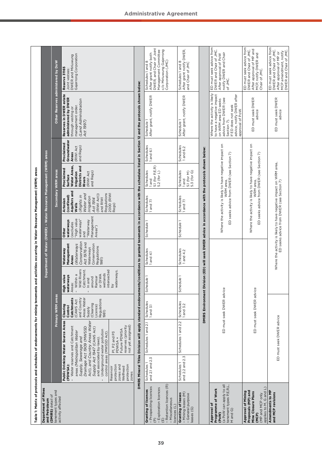| ED must seek advice from<br>DWER and Chair of JMC.<br>After approval of MP or<br>MCP amendment, notify<br>DWER and Chair of JMC.<br>Where the activity is likely ED must seek advice from<br>to have a negative impact DWER and Chair of JMC.<br>on WRM area ED seeks After approval of PoW<br>savice from DWER (see Poutify DWER and Chair<br>If ED does not seek of JMC.<br>adv<br>ED must seek advice from<br>DWER and Chair of JMC.<br>After approval of MP and<br>MCP, notify DWER and<br>Chair of JMC.<br>ED must seek DWER<br>advice<br>ED must seek DWER<br>advice<br>Where the activity is likely to have negative impact on<br>WRM area,<br>ED seeks advice from DWER (see Section 7)<br>$\mathsf{S}$<br>DMIRS Environment Division (ED) will seek DWER advice in accordance with the protocols shown below:<br>Where the activity is likely to have negative impact<br>WRM area,<br>ED seeks advice from DWER (see Section 7)<br>Where the activity is likely to have negative impact on WRM area,<br>ED seeks advice from DWER (see Section 7)<br>ED must seek DWER advice<br>ED must seek DWER advice<br>Approval of<br>Programme of Work<br>(PoW)<br>tenement types P.E.R.L.<br>tenement types P.E.R.L.<br>M and G)<br>(MCP)<br>(MP and MCP only<br>applies to M, G and L)<br>Amendments to MP<br>and MCP revisions<br>Approval of Mining<br>Proposals (MP) and<br>Mine Closure Plans                                                                                                                                                                                                                                                                                                                                                                                                                                                                                                                                                                                                                                                                                                                                                                 |
|---------------------------------------------------------------------------------------------------------------------------------------------------------------------------------------------------------------------------------------------------------------------------------------------------------------------------------------------------------------------------------------------------------------------------------------------------------------------------------------------------------------------------------------------------------------------------------------------------------------------------------------------------------------------------------------------------------------------------------------------------------------------------------------------------------------------------------------------------------------------------------------------------------------------------------------------------------------------------------------------------------------------------------------------------------------------------------------------------------------------------------------------------------------------------------------------------------------------------------------------------------------------------------------------------------------------------------------------------------------------------------------------------------------------------------------------------------------------------------------------------------------------------------------------------------------------------------------------------------------------------------------------------------------------------------------------------------------------------------------------------------------------------------------------------------------------------------------------------------------------------------------------------------------------------------------------------------------------------------------------------------------------------------------------------------------------------------------------------------------------------------------------------------------------|
|                                                                                                                                                                                                                                                                                                                                                                                                                                                                                                                                                                                                                                                                                                                                                                                                                                                                                                                                                                                                                                                                                                                                                                                                                                                                                                                                                                                                                                                                                                                                                                                                                                                                                                                                                                                                                                                                                                                                                                                                                                                                                                                                                                     |
|                                                                                                                                                                                                                                                                                                                                                                                                                                                                                                                                                                                                                                                                                                                                                                                                                                                                                                                                                                                                                                                                                                                                                                                                                                                                                                                                                                                                                                                                                                                                                                                                                                                                                                                                                                                                                                                                                                                                                                                                                                                                                                                                                                     |
|                                                                                                                                                                                                                                                                                                                                                                                                                                                                                                                                                                                                                                                                                                                                                                                                                                                                                                                                                                                                                                                                                                                                                                                                                                                                                                                                                                                                                                                                                                                                                                                                                                                                                                                                                                                                                                                                                                                                                                                                                                                                                                                                                                     |
| Schedules 1 and 8<br>After grant notify DWER,<br>and Chair of JMC<br>Schedule 1<br>After grant, notify DWER<br>Schedules<br>1 and 6.2<br>Schedules<br>1 and<br>5.1 (for M)<br>5.3 (for G)<br>Schedules<br>1 and 7.1<br>Schedule <sub>1</sub><br>Schedules<br>1 and 4.2<br>Schedule 1<br>Schedules<br>1 and 3.2<br>Schedules 1 and 2.2<br>Schedules 1<br>and 2.2 and 2.3<br>Granting of leases<br>- Mining leases (M)<br>- General purpose<br>- General p<br>leases (G)                                                                                                                                                                                                                                                                                                                                                                                                                                                                                                                                                                                                                                                                                                                                                                                                                                                                                                                                                                                                                                                                                                                                                                                                                                                                                                                                                                                                                                                                                                                                                                                                                                                                                              |
| Joint<br>Schedules 1 and 8<br>After grant notify both<br>DWER, and Chair of Joint<br>Mor Miriuwung Gajerrong<br>C/o Miriuwung Gajerrong<br>Corporation (JMC)<br>Schedule 1<br>After grant, notify DWER<br>Schedules<br>1 and 6.1<br>  Schedules<br>  1 and<br>  5.1 (for P,E,R)<br>  5.2 (for L)<br>Schedules<br>1 and 7.1<br>Schedule <sub>1</sub><br>Schedules<br>1 and 4.1<br>Schedule <sub>1</sub><br>Schedules<br>1 and 3.1<br>Schedules 1 and 2.1<br>Schedules 1<br>and 2.1 and 2.3<br>Retention licences (R)<br><b>Granting of licences</b><br>- Prospecting licences<br>Exploration licences<br>- Miscellaneous<br>licences (L)<br>$\widehat{\mathbb{P}}$<br>$(\exists)$                                                                                                                                                                                                                                                                                                                                                                                                                                                                                                                                                                                                                                                                                                                                                                                                                                                                                                                                                                                                                                                                                                                                                                                                                                                                                                                                                                                                                                                                                    |
| DMIRS Mineral Titles Division will apply standard endorsements/conditions to granted tenements in accordance with the schedules listed in Section 12 and the protocols shown below:                                                                                                                                                                                                                                                                                                                                                                                                                                                                                                                                                                                                                                                                                                                                                                                                                                                                                                                                                                                                                                                                                                                                                                                                                                                                                                                                                                                                                                                                                                                                                                                                                                                                                                                                                                                                                                                                                                                                                                                 |
| Reserve 31165<br>Joint vestees:<br>DWER and Miriuwung<br>Gajerrong Corporation<br>Other Reserves administered by DoW<br>Reserves in DWER estate<br>administered by DWER<br>through vesting or<br>management order.<br>(Land Administration<br>Act 1997)<br><b>Proclaimed<br/>Groundwater<br/>Areas</b><br>(RIWI Act<br>and Regs)<br>Department of Water (DWER) - Water Resource Management (WRM) areas<br>$\begin{tabular}{l} \bf{Proclained} \\ \bf{Surface} \\ \bf{Water Areas,} \\ \bf{W} \\ \bf{injation} \\ \bf{Distributions} \\ \bf{RIVer} \\ \bf{S} \\ \end{tabular}$<br>Secondary WRM areas<br>and Regs)<br>Artesian<br>(confined)<br>Aquifers and<br>Wells<br>Act 1914<br>(RIWI Act))<br>and RIWI<br>Regulations<br>2000 (RIWI<br>2000 (RIWI<br>(Rights in<br>Water and<br>Irrigation<br>excludes<br>"High value<br>"High value<br>waterways"<br>and<br>"Waterway<br>"Management<br>Manas")<br>Other<br>waterways<br><b>Waterway</b><br>Management<br>Areas<br>Areas<br>Conservation<br>Conservation<br>Waterways<br>Waterways<br>Regnations<br>Regnations<br>Regnations<br><b>High value</b><br><b>High value</b><br><b>Are are ways</b><br>- Wild Rivers<br>- Wild Rivers<br>- In Gatchment.<br>- Bound<br>- Bonnsar<br>- Bonnsar<br>- Bonnsar<br>- Bonnsar<br>- Bonnsar<br>- Bonnsar<br>- Bonnsar<br>- Bonnsar<br>- Bonnsar<br>- Bonnsar<br>- Bonnsar<br>-<br>Primary WRM areas<br><b>Clearing</b><br><b>Control</b><br><b>Contenents</b><br><b>CAVS</b> Act<br>and Meas Water<br>Areas Water<br>Areas Water<br>Clearing<br>Clearing<br>Lisegulations<br>Regulations<br>Public Drinking Water Source Areas<br>(PDWSA):<br>- Water reserves and Catchment<br>areas (Metropolitan Water<br>Supply, Sewerage and<br>Drainage Act 1909 (NWSSD<br>Act), and Country Areas Water<br>Act), and Country Areas Water<br>an associate by-laws<br>and associate by-laws<br>- Under<br>reserves (priority<br>not yet assigned)<br>P1, P2 and P3<br>PDWSA +<br>Future PDWSA<br>Reservoir<br>protection<br>zones and<br>wellhead<br>wellection<br>protection<br>Department of Mines<br>and Petroleum<br>(DMIRS) detail of<br>tenement types and<br>activity affected |
|                                                                                                                                                                                                                                                                                                                                                                                                                                                                                                                                                                                                                                                                                                                                                                                                                                                                                                                                                                                                                                                                                                                                                                                                                                                                                                                                                                                                                                                                                                                                                                                                                                                                                                                                                                                                                                                                                                                                                                                                                                                                                                                                                                     |
| and activities occurring in Water Resource Management (WRM) areas<br>Table 1: Matrix of protocols and schedules of endorsements for mining tenements                                                                                                                                                                                                                                                                                                                                                                                                                                                                                                                                                                                                                                                                                                                                                                                                                                                                                                                                                                                                                                                                                                                                                                                                                                                                                                                                                                                                                                                                                                                                                                                                                                                                                                                                                                                                                                                                                                                                                                                                                |
|                                                                                                                                                                                                                                                                                                                                                                                                                                                                                                                                                                                                                                                                                                                                                                                                                                                                                                                                                                                                                                                                                                                                                                                                                                                                                                                                                                                                                                                                                                                                                                                                                                                                                                                                                                                                                                                                                                                                                                                                                                                                                                                                                                     |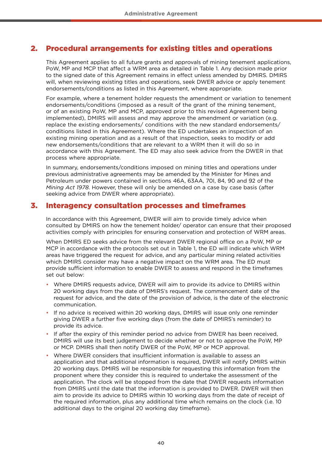## 2. Procedural arrangements for existing titles and operations

This Agreement applies to all future grants and approvals of mining tenement applications, PoW, MP and MCP that affect a WRM area as detailed in Table 1. Any decision made prior to the signed date of this Agreement remains in effect unless amended by DMIRS. DMIRS will, when reviewing existing titles and operations, seek DWER advice or apply tenement endorsements/conditions as listed in this Agreement, where appropriate.

For example, where a tenement holder requests the amendment or variation to tenement endorsements/conditions (imposed as a result of the grant of the mining tenement, or of an existing PoW, MP and MCP, approved prior to this revised Agreement being implemented), DMIRS will assess and may approve the amendment or variation (e.g. replace the existing endorsements/ conditions with the new standard endorsements/ conditions listed in this Agreement). Where the ED undertakes an inspection of an existing mining operation and as a result of that inspection, seeks to modify or add new endorsements/conditions that are relevant to a WRM then it will do so in accordance with this Agreement. The ED may also seek advice from the DWER in that process where appropriate.

In summary, endorsements/conditions imposed on mining titles and operations under previous administrative agreements may be amended by the Minister for Mines and Petroleum under powers contained in sections 46A, 63AA, 70I, 84, 90 and 92 of the *Mining Act 1978*. However, these will only be amended on a case by case basis (after seeking advice from DWER where appropriate).

#### 3. Interagency consultation processes and timeframes

In accordance with this Agreement, DWER will aim to provide timely advice when consulted by DMIRS on how the tenement holder/ operator can ensure that their proposed activities comply with principles for ensuring conservation and protection of WRM areas.

When DMIRS ED seeks advice from the relevant DWER regional office on a PoW, MP or MCP in accordance with the protocols set out in Table 1, the ED will indicate which WRM areas have triggered the request for advice, and any particular mining related activities which DMIRS consider may have a negative impact on the WRM area. The ED must provide sufficient information to enable DWER to assess and respond in the timeframes set out below:

- Where DMIRS requests advice, DWER will aim to provide its advice to DMIRS within 20 working days from the date of DMIRS's request. The commencement date of the request for advice, and the date of the provision of advice, is the date of the electronic communication.
- If no advice is received within 20 working days, DMIRS will issue only one reminder giving DWER a further five working days (from the date of DMIRS's reminder) to provide its advice.
- If after the expiry of this reminder period no advice from DWER has been received, DMIRS will use its best judgement to decide whether or not to approve the PoW, MP or MCP. DMIRS shall then notify DWER of the PoW, MP or MCP approval.
- Where DWER considers that insufficient information is available to assess an application and that additional information is required, DWER will notify DMIRS within 20 working days. DMIRS will be responsible for requesting this information from the proponent where they consider this is required to undertake the assessment of the application. The clock will be stopped from the date that DWER requests information from DMIRS until the date that the information is provided to DWER. DWER will then aim to provide its advice to DMIRS within 10 working days from the date of receipt of the required information, plus any additional time which remains on the clock (i.e. 10 additional days to the original 20 working day timeframe).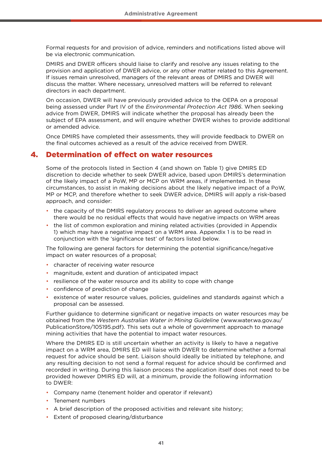Formal requests for and provision of advice, reminders and notifications listed above will be via electronic communication.

DMIRS and DWER officers should liaise to clarify and resolve any issues relating to the provision and application of DWER advice, or any other matter related to this Agreement. If issues remain unresolved, managers of the relevant areas of DMIRS and DWER will discuss the matter. Where necessary, unresolved matters will be referred to relevant directors in each department.

On occasion, DWER will have previously provided advice to the OEPA on a proposal being assessed under Part IV of the *Environmental Protection Act 1986*. When seeking advice from DWER, DMIRS will indicate whether the proposal has already been the subject of EPA assessment, and will enquire whether DWER wishes to provide additional or amended advice.

Once DMIRS have completed their assessments, they will provide feedback to DWER on the final outcomes achieved as a result of the advice received from DWER.

## 4. Determination of effect on water resources

Some of the protocols listed in Section 4 (and shown on Table 1) give DMIRS ED discretion to decide whether to seek DWER advice, based upon DMIRS's determination of the likely impact of a PoW, MP or MCP on WRM areas, if implemented. In these circumstances, to assist in making decisions about the likely negative impact of a PoW, MP or MCP, and therefore whether to seek DWER advice, DMIRS will apply a risk-based approach, and consider:

- the capacity of the DMIRS regulatory process to deliver an agreed outcome where there would be no residual effects that would have negative impacts on WRM areas
- the list of common exploration and mining related activities (provided in Appendix 1) which may have a negative impact on a WRM area. Appendix 1 is to be read in conjunction with the 'significance test' of factors listed below.

The following are general factors for determining the potential significance/negative impact on water resources of a proposal;

- character of receiving water resource
- magnitude, extent and duration of anticipated impact
- resilience of the water resource and its ability to cope with change
- confidence of prediction of change
- existence of water resource values, policies, guidelines and standards against which a proposal can be assessed.

Further guidance to determine significant or negative impacts on water resources may be obtained from the *Western Australian Water in Mining Guideline* [\(www.water.wa.gov.au/](http://www.water.wa.gov.au/PublicationStore/105195.pdf)) [PublicationStore/105195.pdf\).](http://www.water.wa.gov.au/PublicationStore/105195.pdf)) This sets out a whole of government approach to manage mining activities that have the potential to impact water resources.

Where the DMIRS ED is still uncertain whether an activity is likely to have a negative impact on a WRM area, DMIRS ED will liaise with DWER to determine whether a formal request for advice should be sent. Liaison should ideally be initiated by telephone, and any resulting decision to not send a formal request for advice should be confirmed and recorded in writing. During this liaison process the application itself does not need to be provided however DMIRS ED will, at a minimum, provide the following information to DWER:

- Company name (tenement holder and operator if relevant)
- Tenement numbers
- A brief description of the proposed activities and relevant site history;
- Extent of proposed clearing/disturbance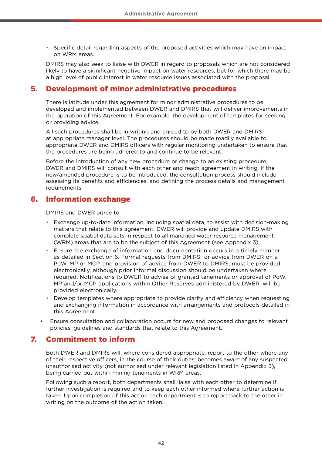• Specific detail regarding aspects of the proposed activities which may have an impact on WRM areas.

DMIRS may also seek to liaise with DWER in regard to proposals which are not considered likely to have a significant negative impact on water resources, but for which there may be a high level of public interest in water resource issues associated with the proposal.

## 5. Development of minor administrative procedures

There is latitude under this agreement for minor administrative procedures to be developed and implemented between DWER and DMIRS that will deliver improvements in the operation of this Agreement. For example, the development of templates for seeking or providing advice.

All such procedures shall be in writing and agreed to by both DWER and DMIRS at appropriate manager level. The procedures should be made readily available to appropriate DWER and DMIRS officers with regular monitoring undertaken to ensure that the procedures are being adhered to and continue to be relevant.

Before the introduction of any new procedure or change to an existing procedure, DWER and DMIRS will consult with each other and reach agreement in writing. If the new/amended procedure is to be introduced, the consultation process should include assessing its benefits and efficiencies, and defining the process details and management requirements.

## 6. Information exchange

DMIRS and DWER agree to:

- Exchange up-to-date information, including spatial data, to assist with decision-making matters that relate to this agreement. DWER will provide and update DMIRS with complete spatial data sets in respect to all managed water resource management (WRM) areas that are to be the subject of this Agreement (see Appendix 3).
- Ensure the exchange of information and documentation occurs in a timely manner as detailed in Section 6. Formal requests from DMIRS for advice from DWER on a PoW, MP or MCP, and provision of advice from DWER to DMIRS, must be provided electronically, although prior informal discussion should be undertaken where required. Notifications to DWER to advise of granted tenements or approval of PoW, MP and/or MCP applications within Other Reserves administered by DWER, will be provided electronically.
- Develop templates where appropriate to provide clarity and efficiency when requesting and exchanging information in accordance with arrangements and protocols detailed in this Agreement.
- Ensure consultation and collaboration occurs for new and proposed changes to relevant policies, guidelines and standards that relate to this Agreement.

## 7. Commitment to inform

Both DWER and DMIRS will, where considered appropriate, report to the other where any of their respective officers, in the course of their duties, becomes aware of any suspected unauthorised activity (not authorised under relevant legislation listed in Appendix 3), being carried out within mining tenements in WRM areas.

Following such a report, both departments shall liaise with each other to determine if further investigation is required and to keep each other informed where further action is taken. Upon completion of this action each department is to report back to the other in writing on the outcome of the action taken.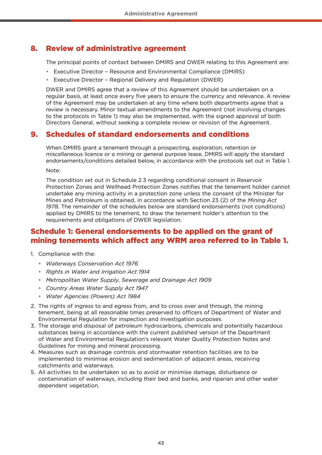## 8. Review of administrative agreement

The principal points of contact between DMIRS and DWER relating to this Agreement are:

- Executive Director Resource and Environmental Compliance (DMIRS)
- Executive Director Regional Delivery and Regulation (DWER)

DWER and DMIRS agree that a review of this Agreement should be undertaken on a regular basis, at least once every five years to ensure the currency and relevance. A review of the Agreement may be undertaken at any time where both departments agree that a review is necessary. Minor textual amendments to the Agreement (not involving changes to the protocols in Table 1) may also be implemented, with the signed approval of both Directors General, without seeking a complete review or revision of the Agreement.

## 9. Schedules of standard endorsements and conditions

When DMIRS grant a tenement through a prospecting, exploration, retention or miscellaneous licence or a mining or general purpose lease, DMIRS will apply the standard endorsements/conditions detailed below, in accordance with the protocols set out in Table 1.

Note:

The condition set out in Schedule 2.3 regarding conditional consent in Reservoir Protection Zones and Wellhead Protection Zones notifies that the tenement holder cannot undertake any mining activity in a protection zone unless the consent of the Minister for Mines and Petroleum is obtained, in accordance with Section 23 (2) of the *Mining Act 1978*. The remainder of the schedules below are standard endorsements (not conditions) applied by DMIRS to the tenement, to draw the tenement holder's attention to the requirements and obligations of DWER legislation.

## Schedule 1: General endorsements to be applied on the grant of mining tenements which affect any WRM area referred to in Table 1.

- 1. Compliance with the:
	- *Waterways Conservation Act 1976*
	- *Rights in Water and Irrigation Act 1914*
	- *Metropolitan Water Supply, Sewerage and Drainage Act 1909*
	- *Country Areas Water Supply Act 1947*
	- *Water Agencies (Powers) Act 1984*
- 2. The rights of ingress to and egress from, and to cross over and through, the mining tenement, being at all reasonable times preserved to officers of Department of Water and Environmental Regulation for inspection and investigation purposes.
- 3. The storage and disposal of petroleum hydrocarbons, chemicals and potentially hazardous substances being in accordance with the current published version of the Department of Water and Environmental Regulation's relevant Water Quality Protection Notes and Guidelines for mining and mineral processing.
- 4. Measures such as drainage controls and stormwater retention facilities are to be implemented to minimise erosion and sedimentation of adjacent areas, receiving catchments and waterways.
- 5. All activities to be undertaken so as to avoid or minimise damage, disturbance or contamination of waterways, including their bed and banks, and riparian and other water dependent vegetation.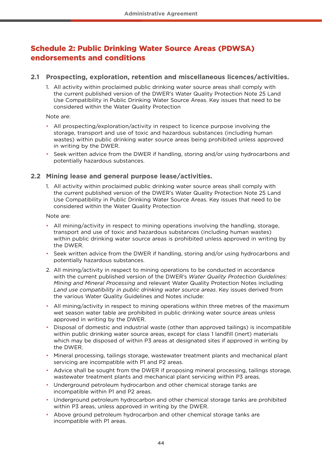## Schedule 2: Public Drinking Water Source Areas (PDWSA) endorsements and conditions

#### **2.1 Prospecting, exploration, retention and miscellaneous licences/activities.**

1. All activity within proclaimed public drinking water source areas shall comply with the current published version of the DWER's Water Quality Protection Note 25 Land Use Compatibility in Public Drinking Water Source Areas. Key issues that need to be considered within the Water Quality Protection

Note are:

- All prospecting/exploration/activity in respect to licence purpose involving the storage, transport and use of toxic and hazardous substances (including human wastes) within public drinking water source areas being prohibited unless approved in writing by the DWER.
- Seek written advice from the DWER if handling, storing and/or using hydrocarbons and potentially hazardous substances.

#### **2.2 Mining lease and general purpose lease/activities.**

1. All activity within proclaimed public drinking water source areas shall comply with the current published version of the DWER's Water Quality Protection Note 25 Land Use Compatibility in Public Drinking Water Source Areas. Key issues that need to be considered within the Water Quality Protection

Note are:

- All mining/activity in respect to mining operations involving the handling, storage, transport and use of toxic and hazardous substances (including human wastes) within public drinking water source areas is prohibited unless approved in writing by the DWER.
- Seek written advice from the DWER if handling, storing and/or using hydrocarbons and potentially hazardous substances.
- 2. All mining/activity in respect to mining operations to be conducted in accordance with the current published version of the DWER's *Water Quality Protection Guidelines: Mining and Mineral Processing* and relevant Water Quality Protection Notes including *Land use compatibility in public drinking water source areas*. Key issues derived from the various Water Quality Guidelines and Notes include:
- All mining/activity in respect to mining operations within three metres of the maximum wet season water table are prohibited in public drinking water source areas unless approved in writing by the DWER.
- Disposal of domestic and industrial waste (other than approved tailings) is incompatible within public drinking water source areas, except for class 1 landfill (inert) materials which may be disposed of within P3 areas at designated sites if approved in writing by the DWER.
- Mineral processing, tailings storage, wastewater treatment plants and mechanical plant servicing are incompatible with P1 and P2 areas.
- Advice shall be sought from the DWER if proposing mineral processing, tailings storage, wastewater treatment plants and mechanical plant servicing within P3 areas.
- Underground petroleum hydrocarbon and other chemical storage tanks are incompatible within P1 and P2 areas.
- Underground petroleum hydrocarbon and other chemical storage tanks are prohibited within P3 areas, unless approved in writing by the DWER.
- Above ground petroleum hydrocarbon and other chemical storage tanks are incompatible with P1 areas.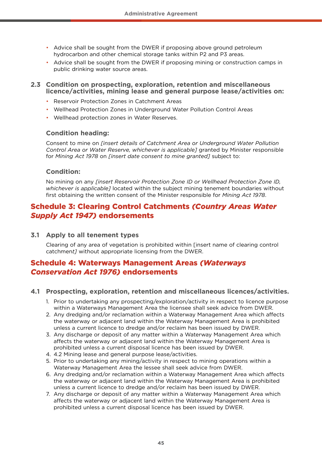- Advice shall be sought from the DWER if proposing above ground petroleum hydrocarbon and other chemical storage tanks within P2 and P3 areas.
- Advice shall be sought from the DWER if proposing mining or construction camps in public drinking water source areas.

#### **2.3 Condition on prospecting, exploration, retention and miscellaneous licence/activities, mining lease and general purpose lease/activities on:**

- Reservoir Protection Zones in Catchment Areas
- Wellhead Protection Zones in Underground Water Pollution Control Areas
- Wellhead protection zones in Water Reserves.

#### **Condition heading:**

Consent to mine on *[insert details of Catchment Area or Underground Water Pollution Control Area or Water Reserve, whichever is applicable]* granted by Minister responsible for *Mining Act 1978* on *[insert date consent to mine granted]* subject to:

#### **Condition:**

No mining on any *[insert Reservoir Protection Zone ID or Wellhead Protection Zone ID, whichever is applicable]* located within the subject mining tenement boundaries without first obtaining the written consent of the Minister responsible for *Mining Act 1978*.

## Schedule 3: Clearing Control Catchments *(Country Areas Water Supply Act 1947)* endorsements

#### **3.1 Apply to all tenement types**

Clearing of any area of vegetation is prohibited within [insert name of clearing control catchmen*t]* without appropriate licensing from the DWER.

## Schedule 4: Waterways Management Areas *(Waterways Conservation Act 1976)* endorsements

#### **4.1 Prospecting, exploration, retention and miscellaneous licences/activities.**

- 1. Prior to undertaking any prospecting/exploration/activity in respect to licence purpose within a Waterways Management Area the licensee shall seek advice from DWER.
- 2. Any dredging and/or reclamation within a Waterway Management Area which affects the waterway or adjacent land within the Waterway Management Area is prohibited unless a current licence to dredge and/or reclaim has been issued by DWER.
- 3. Any discharge or deposit of any matter within a Waterway Management Area which affects the waterway or adjacent land within the Waterway Management Area is prohibited unless a current disposal licence has been issued by DWER.
- 4. 4.2 Mining lease and general purpose lease/activities.
- 5. Prior to undertaking any mining/activity in respect to mining operations within a Waterway Management Area the lessee shall seek advice from DWER.
- 6. Any dredging and/or reclamation within a Waterway Management Area which affects the waterway or adjacent land within the Waterway Management Area is prohibited unless a current licence to dredge and/or reclaim has been issued by DWER.
- 7. Any discharge or deposit of any matter within a Waterway Management Area which affects the waterway or adjacent land within the Waterway Management Area is prohibited unless a current disposal licence has been issued by DWER.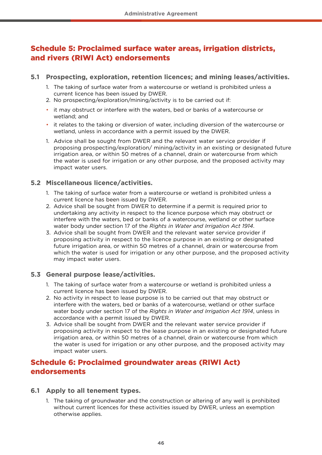## Schedule 5: Proclaimed surface water areas, irrigation districts, and rivers (RIWI Act) endorsements

#### **5.1 Prospecting, exploration, retention licences; and mining leases/activities.**

- 1. The taking of surface water from a watercourse or wetland is prohibited unless a current licence has been issued by DWER.
- 2. No prospecting/exploration/mining/activity is to be carried out if:
- it may obstruct or interfere with the waters, bed or banks of a watercourse or wetland; and
- it relates to the taking or diversion of water, including diversion of the watercourse or wetland, unless in accordance with a permit issued by the DWER.
- 1. Advice shall be sought from DWER and the relevant water service provider if proposing prospecting/exploration/ mining/activity in an existing or designated future irrigation area, or within 50 metres of a channel, drain or watercourse from which the water is used for irrigation or any other purpose, and the proposed activity may impact water users.

#### **5.2 Miscellaneous licence/activities.**

- 1. The taking of surface water from a watercourse or wetland is prohibited unless a current licence has been issued by DWER.
- 2. Advice shall be sought from DWER to determine if a permit is required prior to undertaking any activity in respect to the licence purpose which may obstruct or interfere with the waters, bed or banks of a watercourse, wetland or other surface water body under section 17 of the *Rights in Water and Irrigation Act 1914*.
- 3. Advice shall be sought from DWER and the relevant water service provider if proposing activity in respect to the licence purpose in an existing or designated future irrigation area, or within 50 metres of a channel, drain or watercourse from which the water is used for irrigation or any other purpose, and the proposed activity may impact water users.

## **5.3 General purpose lease/activities.**

- 1. The taking of surface water from a watercourse or wetland is prohibited unless a current licence has been issued by DWER.
- 2. No activity in respect to lease purpose is to be carried out that may obstruct or interfere with the waters, bed or banks of a watercourse, wetland or other surface water body under section 17 of the *Rights in Water and Irrigation Act 1914*, unless in accordance with a permit issued by DWER.
- 3. Advice shall be sought from DWER and the relevant water service provider if proposing activity in respect to the lease purpose in an existing or designated future irrigation area, or within 50 metres of a channel, drain or watercourse from which the water is used for irrigation or any other purpose, and the proposed activity may impact water users.

## Schedule 6: Proclaimed groundwater areas (RIWI Act) endorsements

#### **6.1 Apply to all tenement types.**

1. The taking of groundwater and the construction or altering of any well is prohibited without current licences for these activities issued by DWER, unless an exemption otherwise applies.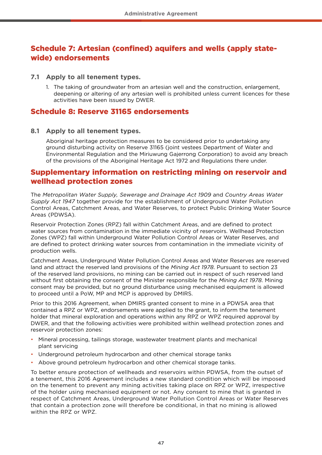## Schedule 7: Artesian (confined) aquifers and wells (apply statewide) endorsements

#### **7.1 Apply to all tenement types.**

1. The taking of groundwater from an artesian well and the construction, enlargement, deepening or altering of any artesian well is prohibited unless current licences for these activities have been issued by DWER.

## Schedule 8: Reserve 31165 endorsements

#### **8.1 Apply to all tenement types.**

Aboriginal heritage protection measures to be considered prior to undertaking any ground disturbing activity on Reserve 31165 (joint vestees Department of Water and Environmental Regulation and the Miriuwung Gajerrong Corporation) to avoid any breach of the provisions of the Aboriginal Heritage Act 1972 and Regulations there under.

## Supplementary information on restricting mining on reservoir and wellhead protection zones

The *Metropolitan Water Supply, Sewerage and Drainage Act 1909* and *Country Areas Water Supply Act 1947* together provide for the establishment of Underground Water Pollution Control Areas, Catchment Areas, and Water Reserves, to protect Public Drinking Water Source Areas (PDWSA).

Reservoir Protection Zones (RPZ) fall within Catchment Areas, and are defined to protect water sources from contamination in the immediate vicinity of reservoirs. Wellhead Protection Zones (WPZ) fall within Underground Water Pollution Control Areas or Water Reserves, and are defined to protect drinking water sources from contamination in the immediate vicinity of production wells.

Catchment Areas, Underground Water Pollution Control Areas and Water Reserves are reserved land and attract the reserved land provisions of the *Mining Act 1978*. Pursuant to section 23 of the reserved land provisions, no mining can be carried out in respect of such reserved land without first obtaining the consent of the Minister responsible for the *Mining Act 1978*. Mining consent may be provided, but no ground disturbance using mechanised equipment is allowed to proceed until a PoW, MP and MCP is approved by DMIRS.

Prior to this 2016 Agreement, when DMIRS granted consent to mine in a PDWSA area that contained a RPZ or WPZ, endorsements were applied to the grant, to inform the tenement holder that mineral exploration and operations within any RPZ or WPZ required approval by DWER, and that the following activities were prohibited within wellhead protection zones and reservoir protection zones:

- Mineral processing, tailings storage, wastewater treatment plants and mechanical plant servicing
- Underground petroleum hydrocarbon and other chemical storage tanks
- Above ground petroleum hydrocarbon and other chemical storage tanks.

To better ensure protection of wellheads and reservoirs within PDWSA, from the outset of a tenement, this 2016 Agreement includes a new standard condition which will be imposed on the tenement to prevent any mining activities taking place on RPZ or WPZ, irrespective of the holder using mechanised equipment or not. Any consent to mine that is granted in respect of Catchment Areas, Underground Water Pollution Control Areas or Water Reserves that contain a protection zone will therefore be conditional, in that no mining is allowed within the RPZ or WPZ.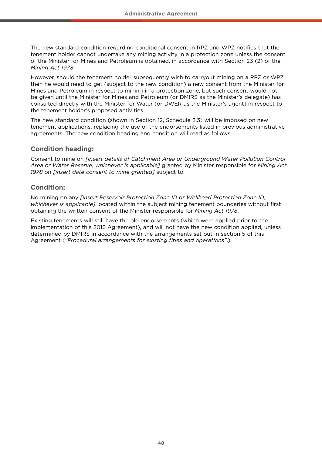The new standard condition regarding conditional consent in RPZ and WPZ notifies that the tenement holder cannot undertake any mining activity in a protection zone unless the consent of the Minister for Mines and Petroleum is obtained, in accordance with Section 23 (2) of the *Mining Act 1978*.

However, should the tenement holder subsequently wish to carryout mining on a RPZ or WPZ then he would need to get (subject to the new condition) a new consent from the Minister for Mines and Petroleum in respect to mining in a protection zone, but such consent would not be given until the Minister for Mines and Petroleum (or DMIRS as the Minister's delegate) has consulted directly with the Minister for Water (or DWER as the Minister's agent) in respect to the tenement holder's proposed activities.

The new standard condition (shown in Section 12, Schedule 2.3) will be imposed on new tenement applications, replacing the use of the endorsements listed in previous administrative agreements. The new condition heading and condition will read as follows:

#### **Condition heading:**

Consent to mine on *[insert details of Catchment Area or Underground Water Pollution Control Area or Water Reserve, whichever is applicable]* granted by Minister responsible for *Mining Act 1978* on *[insert date consent to mine granted]* subject to:

#### **Condition:**

No mining on any *[insert Reservoir Protection Zone ID or Wellhead Protection Zone ID, whichever is applicable]* located within the subject mining tenement boundaries without first obtaining the written consent of the Minister responsible for *Mining Act 1978*.

Existing tenements will still have the old endorsements (which were applied prior to the implementation of this 2016 Agreement), and will not have the new condition applied, unless determined by DMIRS in accordance with the arrangements set out in section 5 of this Agreement (*"Procedural arrangements for existing titles and operations"*.).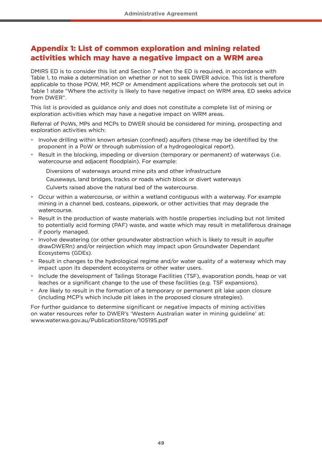## Appendix 1: List of common exploration and mining related activities which may have a negative impact on a WRM area

DMIRS ED is to consider this list and Section 7 when the ED is required, in accordance with Table 1, to make a determination on whether or not to seek DWER advice. This list is therefore applicable to those POW, MP, MCP or Amendment applications where the protocols set out in Table 1 state "Where the activity is likely to have negative impact on WRM area, ED seeks advice from DWER".

This list is provided as guidance only and does not constitute a complete list of mining or exploration activities which may have a negative impact on WRM areas.

Referral of PoWs, MPs and MCPs to DWER should be considered for mining, prospecting and exploration activities which:

- Involve drilling within known artesian (confined) aquifers (these may be identified by the proponent in a PoW or through submission of a hydrogeological report).
- Result in the blocking, impeding or diversion (temporary or permanent) of waterways (i.e. watercourse and adjacent floodplain). For example:
	- Diversions of waterways around mine pits and other infrastructure
	- Causeways, land bridges, tracks or roads which block or divert waterways
	- Culverts raised above the natural bed of the watercourse.
- Occur within a watercourse, or within a wetland contiguous with a waterway. For example mining in a channel bed, costeans, pipework, or other activities that may degrade the watercourse.
- Result in the production of waste materials with hostile properties including but not limited to potentially acid forming (PAF) waste, and waste which may result in metalliferous drainage if poorly managed.
- Involve dewatering (or other groundwater abstraction which is likely to result in aquifer drawDWERn) and/or reinjection which may impact upon Groundwater Dependant Ecosystems (GDEs).
- Result in changes to the hydrological regime and/or water quality of a waterway which may impact upon its dependent ecosystems or other water users.
- Include the development of Tailings Storage Facilities (TSF), evaporation ponds, heap or vat leaches or a significant change to the use of these facilities (e.g. TSF expansions).
- Are likely to result in the formation of a temporary or permanent pit lake upon closure (including MCP's which include pit lakes in the proposed closure strategies).

For further guidance to determine significant or negative impacts of mining activities on water resources refer to DWER's 'Western Australian water in mining guideline' at: [www.water.wa.gov.au/PublicationStore/105195.pdf](http://www.water.wa.gov.au/PublicationStore/105195.pdf)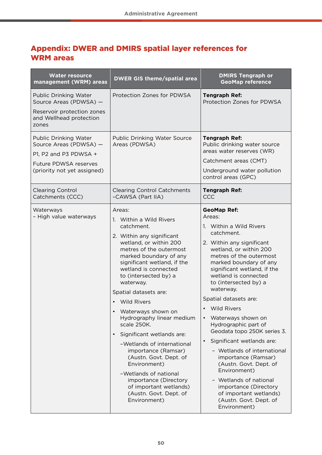## Appendix: DWER and DMIRS spatial layer references for WRM areas

| <b>Water resource</b><br>management (WRM) areas                                                                                                | <b>DWER GIS theme/spatial area</b>                                                                                                                                                                                                                                                                                                                                                                                                                                                                                                                                                                                                       | <b>DMIRS Tengraph or</b><br><b>GeoMap reference</b>                                                                                                                                                                                                                                                                                                                                                                                                                                                                                                                                                                                                     |
|------------------------------------------------------------------------------------------------------------------------------------------------|------------------------------------------------------------------------------------------------------------------------------------------------------------------------------------------------------------------------------------------------------------------------------------------------------------------------------------------------------------------------------------------------------------------------------------------------------------------------------------------------------------------------------------------------------------------------------------------------------------------------------------------|---------------------------------------------------------------------------------------------------------------------------------------------------------------------------------------------------------------------------------------------------------------------------------------------------------------------------------------------------------------------------------------------------------------------------------------------------------------------------------------------------------------------------------------------------------------------------------------------------------------------------------------------------------|
| Public Drinking Water<br>Source Areas (PDWSA) -<br>Reservoir protection zones<br>and Wellhead protection<br>zones                              | Protection Zones for PDWSA                                                                                                                                                                                                                                                                                                                                                                                                                                                                                                                                                                                                               | <b>Tengraph Ref:</b><br>Protection Zones for PDWSA                                                                                                                                                                                                                                                                                                                                                                                                                                                                                                                                                                                                      |
| <b>Public Drinking Water</b><br>Source Areas (PDWSA) -<br>P1, P2 and P3 PDWSA +<br><b>Future PDWSA reserves</b><br>(priority not yet assigned) | <b>Public Drinking Water Source</b><br>Areas (PDWSA)                                                                                                                                                                                                                                                                                                                                                                                                                                                                                                                                                                                     | <b>Tengraph Ref:</b><br>Public drinking water source<br>areas water reserves (WR)<br>Catchment areas (CMT)<br>Underground water pollution<br>control areas (GPC)                                                                                                                                                                                                                                                                                                                                                                                                                                                                                        |
| <b>Clearing Control</b><br>Catchments (CCC)                                                                                                    | <b>Clearing Control Catchments</b><br>-CAWSA (Part IIA)                                                                                                                                                                                                                                                                                                                                                                                                                                                                                                                                                                                  | <b>Tengraph Ref:</b><br>CCC                                                                                                                                                                                                                                                                                                                                                                                                                                                                                                                                                                                                                             |
| Waterways<br>- High value waterways                                                                                                            | Areas:<br>1. Within a Wild Rivers<br>catchment.<br>2. Within any significant<br>wetland, or within 200<br>metres of the outermost<br>marked boundary of any<br>significant wetland, if the<br>wetland is connected<br>to (intersected by) a<br>waterway.<br>Spatial datasets are:<br><b>Wild Rivers</b><br>Waterways shown on<br>Hydrography linear medium<br>scale 250K.<br>Significant wetlands are:<br>$\bullet$<br>-Wetlands of international<br>importance (Ramsar)<br>(Austn. Govt. Dept. of<br>Environment)<br>-Wetlands of national<br>importance (Directory<br>of important wetlands)<br>(Austn. Govt. Dept. of<br>Environment) | <b>GeoMap Ref:</b><br>Areas:<br>1. Within a Wild Rivers<br>catchment.<br>2. Within any significant<br>wetland, or within 200<br>metres of the outermost<br>marked boundary of any<br>significant wetland, if the<br>wetland is connected<br>to (intersected by) a<br>waterway.<br>Spatial datasets are:<br>Wild Rivers<br>Waterways shown on<br>Hydrographic part of<br>Geodata topo 250K series 3.<br>Significant wetlands are:<br>- Wetlands of international<br>importance (Ramsar)<br>(Austn. Govt. Dept. of<br>Environment)<br>- Wetlands of national<br>importance (Directory<br>of important wetlands)<br>(Austn. Govt. Dept. of<br>Environment) |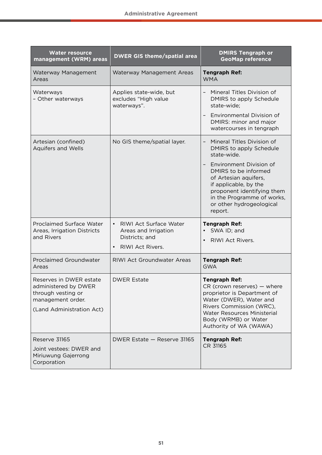| <b>Water resource</b><br>management (WRM) areas                                                                         | <b>DWER GIS theme/spatial area</b>                                                                | <b>DMIRS Tengraph or</b><br><b>GeoMap reference</b>                                                                                                                                                                                                                                                             |
|-------------------------------------------------------------------------------------------------------------------------|---------------------------------------------------------------------------------------------------|-----------------------------------------------------------------------------------------------------------------------------------------------------------------------------------------------------------------------------------------------------------------------------------------------------------------|
| Waterway Management<br>Areas                                                                                            | Waterway Management Areas                                                                         | <b>Tengraph Ref:</b><br><b>WMA</b>                                                                                                                                                                                                                                                                              |
| Waterways<br>- Other waterways                                                                                          | Applies state-wide, but<br>excludes "High value<br>waterways".                                    | Mineral Titles Division of<br>DMIRS to apply Schedule<br>state-wide;<br>Environmental Division of<br>DMIRS: minor and major<br>watercourses in tengraph                                                                                                                                                         |
| Artesian (confined)<br>Aquifers and Wells                                                                               | No GIS theme/spatial layer.                                                                       | Mineral Titles Division of<br>$\overline{\phantom{a}}$<br>DMIRS to apply Schedule<br>state-wide.<br><b>Environment Division of</b><br>DMIRS to be informed<br>of Artesian aquifers,<br>if applicable, by the<br>proponent identifying them<br>in the Programme of works,<br>or other hydrogeological<br>report. |
| Proclaimed Surface Water<br>Areas, Irrigation Districts<br>and Rivers                                                   | RIWI Act Surface Water<br>$\bullet$<br>Areas and Irrigation<br>Districts; and<br>RIWI Act Rivers. | <b>Tengraph Ref:</b><br>SWA ID; and<br>RIWI Act Rivers.                                                                                                                                                                                                                                                         |
| Proclaimed Groundwater<br>Areas                                                                                         | RIWI Act Groundwater Areas                                                                        | <b>Tengraph Ref:</b><br><b>GWA</b>                                                                                                                                                                                                                                                                              |
| Reserves in DWER estate<br>administered by DWER<br>through vesting or<br>management order.<br>(Land Administration Act) | <b>DWER Estate</b>                                                                                | <b>Tengraph Ref:</b><br>$CR$ (crown reserves) $-$ where<br>proprietor is Department of<br>Water (DWER), Water and<br>Rivers Commission (WRC),<br>Water Resources Ministerial<br>Body (WRMB) or Water<br>Authority of WA (WAWA)                                                                                  |
| Reserve 31165<br>Joint vestees: DWER and<br>Miriuwung Gajerrong<br>Corporation                                          | DWER Estate - Reserve 31165                                                                       | <b>Tengraph Ref:</b><br>CR 31165                                                                                                                                                                                                                                                                                |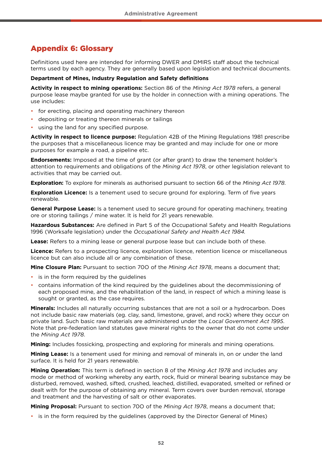## Appendix 6: Glossary

Definitions used here are intended for informing DWER and DMIRS staff about the technical terms used by each agency. They are generally based upon legislation and technical documents.

#### **Department of Mines, Industry Regulation and Safety definitions**

**Activity in respect to mining operations:** Section 86 of the *Mining Act 1978* refers, a general purpose lease maybe granted for use by the holder in connection with a mining operations. The use includes:

- for erecting, placing and operating machinery thereon
- depositing or treating thereon minerals or tailings
- using the land for any specified purpose.

**Activity in respect to licence purpose:** Regulation 42B of the Mining Regulations 1981 prescribe the purposes that a miscellaneous licence may be granted and may include for one or more purposes for example a road, a pipeline etc.

**Endorsements:** Imposed at the time of grant (or after grant) to draw the tenement holder's attention to requirements and obligations of the *Mining Act 1978*, or other legislation relevant to activities that may be carried out.

**Exploration:** To explore for minerals as authorised pursuant to section 66 of the *Mining Act 1978*.

**Exploration Licence:** Is a tenement used to secure ground for exploring. Term of five years renewable.

**General Purpose Lease:** Is a tenement used to secure ground for operating machinery, treating ore or storing tailings / mine water. It is held for 21 years renewable.

**Hazardous Substances:** Are defined in Part 5 of the Occupational Safety and Health Regulations 1996 (Worksafe legislation) under the *Occupational Safety and Health Act 1984.*

**Lease:** Refers to a mining lease or general purpose lease but can include both of these.

**Licence:** Refers to a prospecting licence, exploration licence, retention licence or miscellaneous licence but can also include all or any combination of these.

**Mine Closure Plan:** Pursuant to section 70O of the *Mining Act 1978*, means a document that;

- is in the form required by the guidelines
- contains information of the kind required by the guidelines about the decommissioning of each proposed mine, and the rehabilitation of the land, in respect of which a mining lease is sought or granted, as the case requires.

**Minerals:** Includes all naturally occurring substances that are not a soil or a hydrocarbon. Does not include basic raw materials (eg. clay, sand, limestone, gravel, and rock) where they occur on private land. Such basic raw materials are administered under the *Local Government Act 1995*. Note that pre-federation land statutes gave mineral rights to the owner that do not come under the *Mining Act 1978*.

**Mining:** Includes fossicking, prospecting and exploring for minerals and mining operations.

**Mining Lease:** Is a tenement used for mining and removal of minerals in, on or under the land surface. It is held for 21 years renewable.

**Mining Operation:** This term is defined in section 8 of the *Mining Act 1978* and includes any mode or method of working whereby any earth, rock, fluid or mineral bearing substance may be disturbed, removed, washed, sifted, crushed, leached, distilled, evaporated, smelted or refined or dealt with for the purpose of obtaining any mineral. Term covers over burden removal, storage and treatment and the harvesting of salt or other evaporates.

**Mining Proposal:** Pursuant to section 70O of the *Mining Act 1978*, means a document that;

• is in the form required by the guidelines (approved by the Director General of Mines)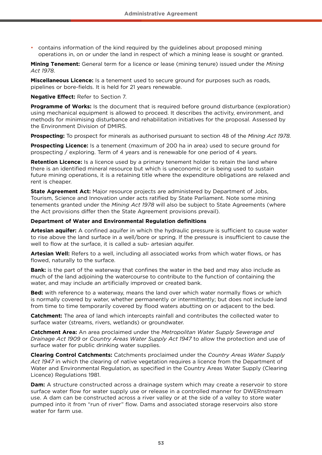• contains information of the kind required by the guidelines about proposed mining operations in, on or under the land in respect of which a mining lease is sought or granted.

**Mining Tenement:** General term for a licence or lease (mining tenure) issued under the *Mining Act 1978*.

**Miscellaneous Licence:** Is a tenement used to secure ground for purposes such as roads, pipelines or bore-fields. It is held for 21 years renewable.

#### **Negative Effect:** Refer to Section 7.

**Programme of Works:** Is the document that is required before ground disturbance (exploration) using mechanical equipment is allowed to proceed. It describes the activity, environment, and methods for minimising disturbance and rehabilitation initiatives for the proposal. Assessed by the Environment Division of DMIRS.

**Prospecting:** To prospect for minerals as authorised pursuant to section 48 of the *Mining Act 1978*.

**Prospecting Licence:** Is a tenement (maximum of 200 ha in area) used to secure ground for prospecting / exploring. Term of 4 years and is renewable for one period of 4 years.

**Retention Licence:** Is a licence used by a primary tenement holder to retain the land where there is an identified mineral resource but which is uneconomic or is being used to sustain future mining operations, it is a retaining title where the expenditure obligations are relaxed and rent is cheaper.

**State Agreement Act:** Major resource projects are administered by Department of Jobs, Tourism, Science and Innovation under acts ratified by State Parliament. Note some mining tenements granted under the *Mining Act 1978* will also be subject to State Agreements (where the Act provisions differ then the State Agreement provisions prevail).

#### **Department of Water and Environmental Regulation definitions**

**Artesian aquifer:** A confined aquifer in which the hydraulic pressure is sufficient to cause water to rise above the land surface in a well/bore or spring. If the pressure is insufficient to cause the well to flow at the surface, it is called a sub- artesian aquifer.

**Artesian Well:** Refers to a well, including all associated works from which water flows, or has flowed, naturally to the surface.

**Bank:** is the part of the waterway that confines the water in the bed and may also include as much of the land adjoining the watercourse to contribute to the function of containing the water, and may include an artificially improved or created bank.

**Bed:** with reference to a waterway, means the land over which water normally flows or which is normally covered by water, whether permanently or intermittently; but does not include land from time to time temporarily covered by flood waters abutting on or adjacent to the bed.

**Catchment:** The area of land which intercepts rainfall and contributes the collected water to surface water (streams, rivers, wetlands) or groundwater.

**Catchment Area:** An area proclaimed under the *Metropolitan Water Supply Sewerage and Drainage Act 1909* or *Country Areas Water Supply Act 1947* to allow the protection and use of surface water for public drinking water supplies.

**Clearing Control Catchments:** Catchments proclaimed under the *Country Areas Water Supply Act 1947* in which the clearing of native vegetation requires a licence from the Department of Water and Environmental Regulation, as specified in the Country Areas Water Supply (Clearing Licence) Regulations 1981.

**Dam:** A structure constructed across a drainage system which may create a reservoir to store surface water flow for water supply use or release in a controlled manner for DWERnstream use. A dam can be constructed across a river valley or at the side of a valley to store water pumped into it from "run of river" flow. Dams and associated storage reservoirs also store water for farm use.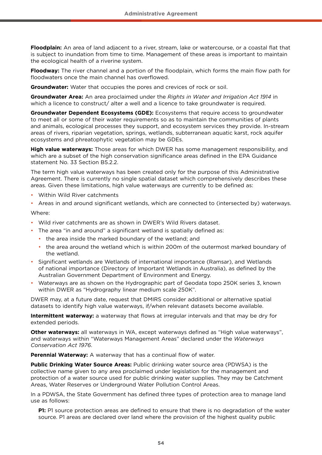**Floodplain:** An area of land adjacent to a river, stream, lake or watercourse, or a coastal flat that is subject to inundation from time to time. Management of these areas is important to maintain the ecological health of a riverine system.

**Floodway:** The river channel and a portion of the floodplain, which forms the main flow path for floodwaters once the main channel has overflowed.

**Groundwater:** Water that occupies the pores and crevices of rock or soil.

**Groundwater Area:** An area proclaimed under the *Rights in Water and Irrigation Act 1914* in which a licence to construct/ alter a well and a licence to take groundwater is required.

**Groundwater Dependent Ecosystems (GDE):** Ecosystems that require access to groundwater to meet all or some of their water requirements so as to maintain the communities of plants and animals, ecological processes they support, and ecosystem services they provide. In-stream areas of rivers, riparian vegetation, springs, wetlands, subterranean aquatic karst, rock aquifer ecosystems and phreatophytic vegetation may be GDEs.

**High value waterways:** Those areas for which DWER has some management responsibility, and which are a subset of the high conservation significance areas defined in the EPA Guidance statement No. 33 Section B5.2.2.

The term high value waterways has been created only for the purpose of this Administrative Agreement. There is currently no single spatial dataset which comprehensively describes these areas. Given these limitations, high value waterways are currently to be defined as:

- Within Wild River catchments
- Areas in and around significant wetlands, which are connected to (intersected by) waterways.

Where:

- Wild river catchments are as shown in DWER's Wild Rivers dataset.
- The area "in and around" a significant wetland is spatially defined as:
	- the area inside the marked boundary of the wetland; and
	- the area around the wetland which is within 200m of the outermost marked boundary of the wetland.
- Significant wetlands are Wetlands of international importance (Ramsar), and Wetlands of national importance (Directory of Important Wetlands in Australia), as defined by the Australian Government Department of Environment and Energy.
- Waterways are as shown on the Hydrographic part of Geodata topo 250K series 3, known within DWER as "Hydrography linear medium scale 250K".

DWER may, at a future date, request that DMIRS consider additional or alternative spatial datasets to identify high value waterways, if/when relevant datasets become available.

**Intermittent waterway:** a waterway that flows at irregular intervals and that may be dry for extended periods.

**Other waterways:** all waterways in WA, except waterways defined as "High value waterways", and waterways within "Waterways Management Areas" declared under the *Waterways Conservation Act 1976*.

**Perennial Waterway:** A waterway that has a continual flow of water.

**Public Drinking Water Source Areas:** Public drinking water source area (PDWSA) is the collective name given to any area proclaimed under legislation for the management and protection of a water source used for public drinking water supplies. They may be Catchment Areas, Water Reserves or Underground Water Pollution Control Areas.

In a PDWSA, the State Government has defined three types of protection area to manage land use as follows:

**P1:** P1 source protection areas are defined to ensure that there is no degradation of the water source. P1 areas are declared over land where the provision of the highest quality public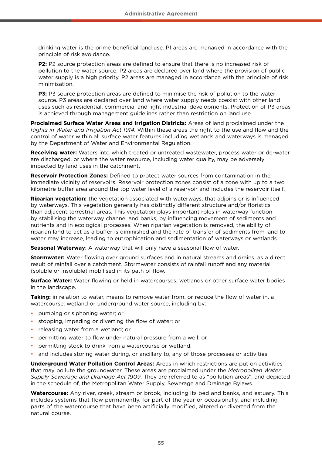drinking water is the prime beneficial land use. P1 areas are managed in accordance with the principle of risk avoidance.

**P2:** P2 source protection areas are defined to ensure that there is no increased risk of pollution to the water source. P2 areas are declared over land where the provision of public water supply is a high priority. P2 areas are managed in accordance with the principle of risk minimisation.

**P3:** P3 source protection areas are defined to minimise the risk of pollution to the water source. P3 areas are declared over land where water supply needs coexist with other land uses such as residential, commercial and light industrial developments. Protection of P3 areas is achieved through management guidelines rather than restriction on land use.

**Proclaimed Surface Water Areas and Irrigation Districts:** Areas of land proclaimed under the *Rights in Water and Irrigation Act 1914*. Within these areas the right to the use and flow and the control of water within all surface water features including wetlands and waterways is managed by the Department of Water and Environmental Regulation.

**Receiving water:** Waters into which treated or untreated wastewater, process water or de-water are discharged, or where the water resource, including water quality, may be adversely impacted by land uses in the catchment.

**Reservoir Protection Zones:** Defined to protect water sources from contamination in the immediate vicinity of reservoirs. Reservoir protection zones consist of a zone with up to a two kilometre buffer area around the top water level of a reservoir and includes the reservoir itself.

**Riparian vegetation:** the vegetation associated with waterways, that adjoins or is influenced by waterways. This vegetation generally has distinctly different structure and/or floristics than adjacent terrestrial areas. This vegetation plays important roles in waterway function by stabilising the waterway channel and banks, by influencing movement of sediments and nutrients and in ecological processes. When riparian vegetation is removed, the ability of riparian land to act as a buffer is diminished and the rate of transfer of sediments from land to water may increase, leading to eutrophication and sedimentation of waterways or wetlands.

**Seasonal Waterway**: A waterway that will only have a seasonal flow of water.

**Stormwater:** Water flowing over ground surfaces and in natural streams and drains, as a direct result of rainfall over a catchment. Stormwater consists of rainfall runoff and any material (soluble or insoluble) mobilised in its path of flow.

**Surface Water:** Water flowing or held in watercourses, wetlands or other surface water bodies in the landscape.

**Taking:** in relation to water, means to remove water from, or reduce the flow of water in, a watercourse, wetland or underground water source, including by:

- pumping or siphoning water; or
- stopping, impeding or diverting the flow of water; or
- releasing water from a wetland; or
- permitting water to flow under natural pressure from a well; or
- permitting stock to drink from a watercourse or wetland,
- and includes storing water during, or ancillary to, any of those processes or activities.

**Underground Water Pollution Control Areas:** Areas in which restrictions are put on activities that may pollute the groundwater. These areas are proclaimed under the *Metropolitan Water Supply Sewerage and Drainage Act 1909*. They are referred to as "pollution areas", and depicted in the schedule of, the Metropolitan Water Supply, Sewerage and Drainage Bylaws.

**Watercourse:** Any river, creek, stream or brook, including its bed and banks, and estuary. This includes systems that flow permanently, for part of the year or occasionally, and including parts of the watercourse that have been artificially modified, altered or diverted from the natural course.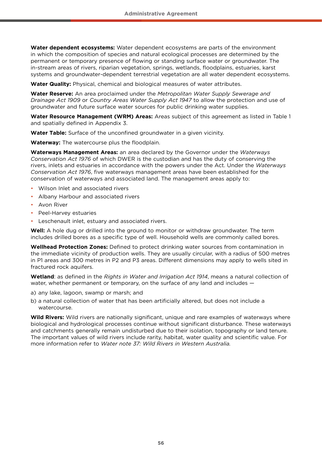**Water dependent ecosystems:** Water dependent ecosystems are parts of the environment in which the composition of species and natural ecological processes are determined by the permanent or temporary presence of flowing or standing surface water or groundwater. The in-stream areas of rivers, riparian vegetation, springs, wetlands, floodplains, estuaries, karst systems and groundwater-dependent terrestrial vegetation are all water dependent ecosystems.

**Water Quality:** Physical, chemical and biological measures of water attributes.

**Water Reserve:** An area proclaimed under the *Metropolitan Water Supply Sewerage and Drainage Act 1909* or *Country Areas Water Supply Act 1947* to allow the protection and use of groundwater and future surface water sources for public drinking water supplies.

**Water Resource Management (WRM) Areas:** Areas subject of this agreement as listed in Table 1 and spatially defined in Appendix 3.

**Water Table:** Surface of the unconfined groundwater in a given vicinity.

**Waterway:** The watercourse plus the floodplain.

**Waterways Management Areas:** an area declared by the Governor under the *Waterways Conservation Act 1976* of which DWER is the custodian and has the duty of conserving the rivers, inlets and estuaries in accordance with the powers under the Act. Under the *Waterways Conservation Act 1976*, five waterways management areas have been established for the conservation of waterways and associated land. The management areas apply to:

- Wilson Inlet and associated rivers
- Albany Harbour and associated rivers
- Avon River
- Peel-Harvey estuaries
- Leschenault inlet, estuary and associated rivers.

**Well:** A hole dug or drilled into the ground to monitor or withdraw groundwater. The term includes drilled bores as a specific type of well. Household wells are commonly called bores.

**Wellhead Protection Zones:** Defined to protect drinking water sources from contamination in the immediate vicinity of production wells. They are usually circular, with a radius of 500 metres in P1 areas and 300 metres in P2 and P3 areas. Different dimensions may apply to wells sited in fractured rock aquifers.

**Wetland**: as defined in the *Rights in Water and Irrigation Act 1914*, means a natural collection of water, whether permanent or temporary, on the surface of any land and includes  $-$ 

- a) any lake, lagoon, swamp or marsh; and
- b) a natural collection of water that has been artificially altered, but does not include a watercourse.

**Wild Rivers:** Wild rivers are nationally significant, unique and rare examples of waterways where biological and hydrological processes continue without significant disturbance. These waterways and catchments generally remain undisturbed due to their isolation, topography or land tenure. The important values of wild rivers include rarity, habitat, water quality and scientific value. For more information refer to *Water note 37: Wild Rivers in Western Australia.*